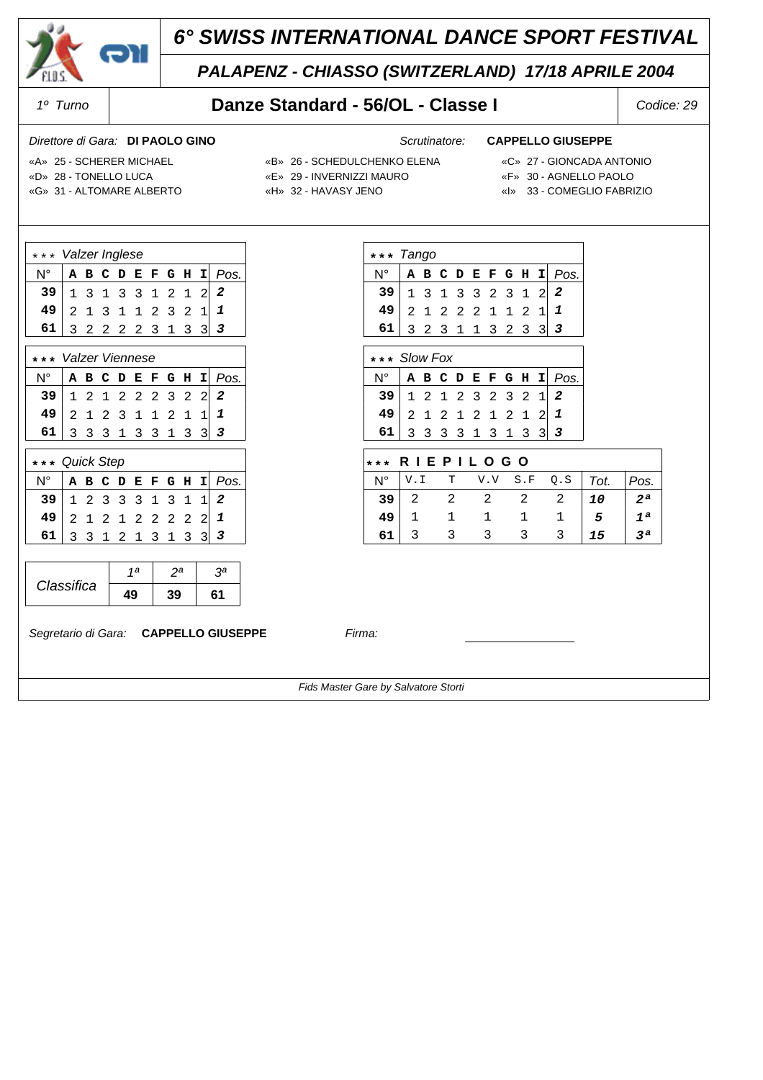

## *PALAPENZ - CHIASSO (SWITZERLAND) 17/18 APRILE 2004*

### *1º Turno* **Danze Standard - 56/OL - Classe I** *Codice: 29*

### *Direttore di Gara: Scrutinatore:* **DI PAOLO GINO CAPPELLO GIUSEPPE**

 $N^{\circ}$  **ABCDEFGHI** *Pos.*  13 1 3 32 31 2 *2* 21 2 2 21 12 1 *1* 32 3 1 13 23 3 *3*

N° **ABCDEFGHI** *Pos.* 12 1 2 32 32 1 *2* 21 2 1 21 21 2 *1* 33 3 3 13 13 3 *3*

N° V.I T V.V S.F Q.S *Tot. Pos.* 2 2 2 2 2 *10 2ª* 1 1 1 1 1 *5 1ª* 3 3 3 3 3 *15 3ª*

 **\* \* \* R I E P I L O G O**

- «D» 28 TONELLO LUCA «E» 29 INVERNIZZI MAURO «F» 30 AGNELLO PAOLO
- «A» 25 SCHERER MICHAEL «B» 26 SCHEDULCHENKO ELENA «C» 27 GIONCADA ANTONIO

**\* \* \*** *Tango*

**\* \* \*** *Slow Fox*

- 
- «G» 31 ALTOMARE ALBERTO «H» 32 HAVASY JENO «I» 33 COMEGLIO FABRIZIO
- 
- -

|    | *** Valzer Inglese  |  |  |  |  |  |  |                       |  |                        |  |
|----|---------------------|--|--|--|--|--|--|-----------------------|--|------------------------|--|
| N° |                     |  |  |  |  |  |  |                       |  | A B C D E F G H I Pos. |  |
| 39 |                     |  |  |  |  |  |  | $1$ 3 1 3 3 1 2 1 2 2 |  |                        |  |
| 49 |                     |  |  |  |  |  |  | $2$ 1 3 1 1 2 3 2 1   |  |                        |  |
| 61 | $3$ 2 2 2 2 3 1 3 3 |  |  |  |  |  |  |                       |  |                        |  |
|    |                     |  |  |  |  |  |  |                       |  |                        |  |

|                                                                            | *** Valzer Viennese |  |  |  |  |  |  |  |  |                        |
|----------------------------------------------------------------------------|---------------------|--|--|--|--|--|--|--|--|------------------------|
|                                                                            |                     |  |  |  |  |  |  |  |  | A B C D E F G H I Pos. |
| 39 1 2 1 2 2 2 3 2 2 2<br>49 2 1 2 3 1 1 2 1 1 1<br>61 3 3 3 1 3 3 1 3 3 3 |                     |  |  |  |  |  |  |  |  |                        |
|                                                                            |                     |  |  |  |  |  |  |  |  |                        |
|                                                                            |                     |  |  |  |  |  |  |  |  |                        |

| *** Quick Step |  |  |  |  |  |  |  |                         |  |                        |
|----------------|--|--|--|--|--|--|--|-------------------------|--|------------------------|
| N°             |  |  |  |  |  |  |  |                         |  | A B C D E F G H I Pos. |
| 39             |  |  |  |  |  |  |  | $1$ 2 3 3 3 1 3 1 1 2   |  |                        |
| 49             |  |  |  |  |  |  |  | $2$ 1 2 1 2 2 2 2 2 $2$ |  |                        |
|                |  |  |  |  |  |  |  | 3 3 1 2 1 3 1 3         |  |                        |

|            | 1a | วล | oа |
|------------|----|----|----|
| Classifica | 19 |    |    |

*Segretario di Gara:* **CAPPELLO GIUSEPPE** *Firma:*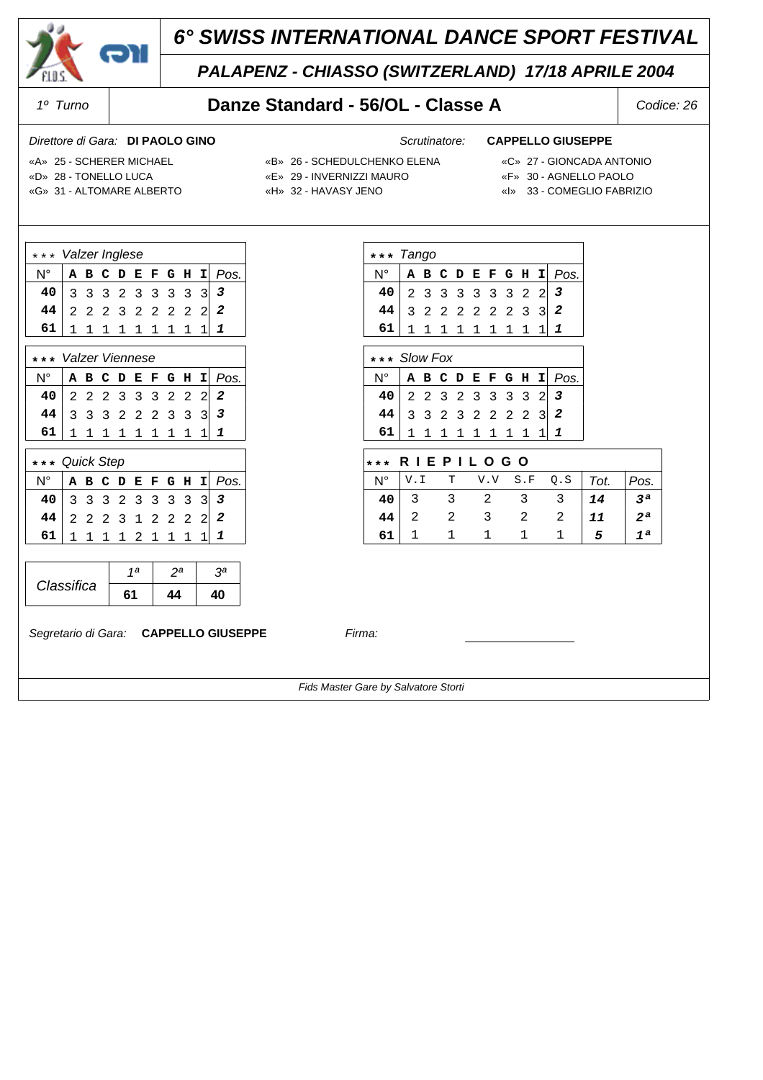

## *PALAPENZ - CHIASSO (SWITZERLAND) 17/18 APRILE 2004*

### *1º Turno* **Danze Standard - 56/OL - Classe A** *Codice: 26*

### *Direttore di Gara: Scrutinatore:* **DI PAOLO GINO CAPPELLO GIUSEPPE**

N° **ABCDEFGHI** *Pos.* 23 3 3 33 32 2 *3* 32 2 2 22 23 3 *2* 11 1 1 11 11 1 *1*

N° **ABCDEFGHI** *Pos.* 22 3 2 33 33 2 *3* 33 2 3 22 22 3 *2* 11 1 1 11 11 1 *1*

N° V.I T V.V S.F Q.S *Tot. Pos.* 3 3 2 3 3 *14 3ª* 2 2 3 2 2 *11 2ª* 1 1 1 1 1 *5 1ª*

 **\* \* \* R I E P I L O G O**

- «D» 28 TONELLO LUCA «E» 29 INVERNIZZI MAURO «F» 30 AGNELLO PAOLO
- «A» 25 SCHERER MICHAEL «B» 26 SCHEDULCHENKO ELENA «C» 27 GIONCADA ANTONIO

**\* \* \*** *Tango*

**\* \* \*** *Slow Fox*

- 
- «G» 31 ALTOMARE ALBERTO «H» 32 HAVASY JENO «I» 33 COMEGLIO FABRIZIO
- 
- -

|    | *** Valzer Inglese |  |  |  |  |  |  |                             |  |                        |
|----|--------------------|--|--|--|--|--|--|-----------------------------|--|------------------------|
| N° |                    |  |  |  |  |  |  |                             |  | A B C D E F G H I Pos. |
| 40 |                    |  |  |  |  |  |  | 3 3 3 2 3 3 3 3 3           |  |                        |
| 44 |                    |  |  |  |  |  |  | $2$ 2 2 3 2 2 2 2 2 $\Big $ |  | $\overline{c}$         |
| 61 |                    |  |  |  |  |  |  | $1 1 1 1 1 1 1 1 1 1$       |  |                        |
|    |                    |  |  |  |  |  |  |                             |  |                        |

|                                                                                                                                                                  | *** Valzer Viennese |  |  |  |  |  |  |  |  |                        |  |
|------------------------------------------------------------------------------------------------------------------------------------------------------------------|---------------------|--|--|--|--|--|--|--|--|------------------------|--|
| N° l                                                                                                                                                             |                     |  |  |  |  |  |  |  |  | A B C D E F G H I Pos. |  |
| $\begin{array}{c cccccc} 40 & 2 & 2 & 2 & 3 & 3 & 3 & 2 & 2 & 2 \\ 44 & 3 & 3 & 3 & 2 & 2 & 2 & 3 & 3 & 3 \\ 61 & 1 & 1 & 1 & 1 & 1 & 1 & 1 & 1 & 1 \end{array}$ |                     |  |  |  |  |  |  |  |  |                        |  |
|                                                                                                                                                                  |                     |  |  |  |  |  |  |  |  |                        |  |
|                                                                                                                                                                  |                     |  |  |  |  |  |  |  |  |                        |  |

| *** Quick Step             |  |  |  |  |  |  |  |                 |  |                        |
|----------------------------|--|--|--|--|--|--|--|-----------------|--|------------------------|
| $N^{\circ}$                |  |  |  |  |  |  |  |                 |  | A B C D E F G H I Pos. |
| $40$ 3 3 3 2 3 3 3 3 3 3 3 |  |  |  |  |  |  |  |                 |  |                        |
| 44 2 2 2 3 1 2 2 2 2 2     |  |  |  |  |  |  |  |                 |  |                        |
| 61                         |  |  |  |  |  |  |  | 1 1 1 1 2 1 1 1 |  |                        |

|            | 1а | nа | oа |
|------------|----|----|----|
| Classifica |    |    |    |

*Segretario di Gara:* **CAPPELLO GIUSEPPE** *Firma:*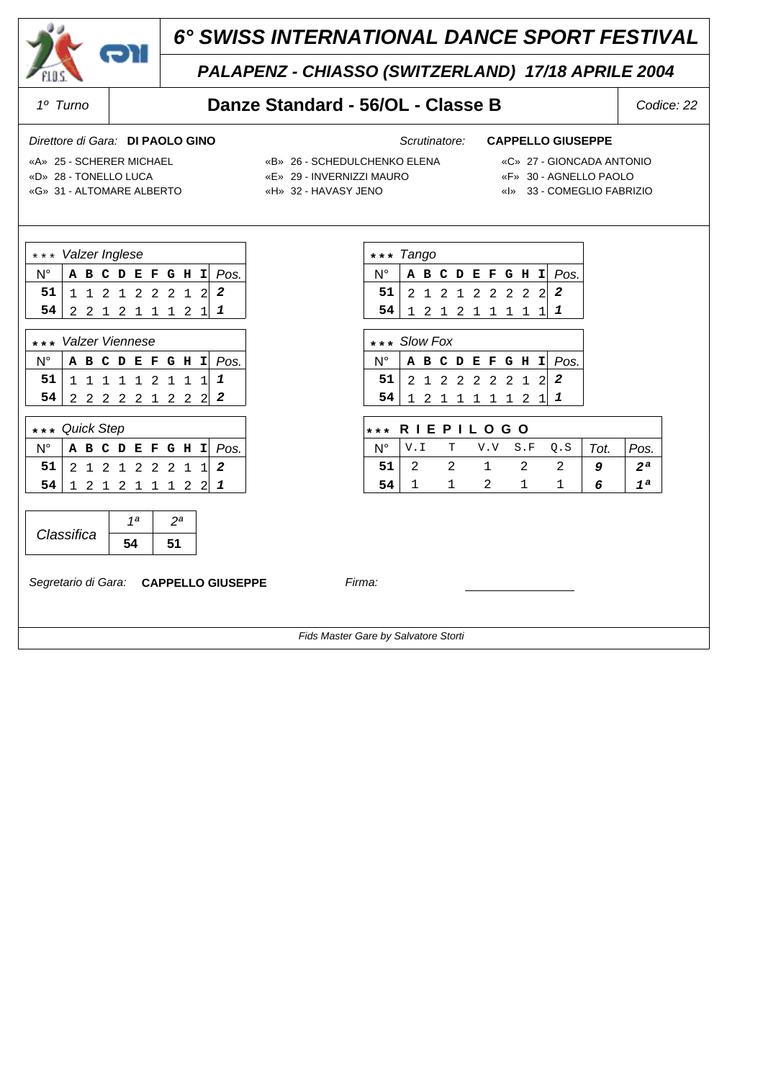

## *PALAPENZ - CHIASSO (SWITZERLAND) 17/18 APRILE 2004*

### *1º Turno* **Danze Standard - 56/OL - Classe B** *Codice: 22*

### *Direttore di Gara: Scrutinatore:* **DI PAOLO GINO CAPPELLO GIUSEPPE**

N° **ABCDEFGHI** *Pos.* **51** 2 1 2 1 2 2 2 2 2 2  **54** 12 1 2 11 11 1 *1*

N° **ABCDEFGHI** *Pos.*  **51** 21 2 2 22 21 2 *2*  **54** 12 1 1 11 12 1 *1*

N° V.I T V.V S.F Q.S *Tot. Pos.*  **51** 2 2 1 2 2 *9 2ª*  **54** 1 1 2 1 1 *6 1ª*

 **\* \* \* R I E P I L O G O**

- «D» 28 TONELLO LUCA «E» 29 INVERNIZZI MAURO «F» 30 AGNELLO PAOLO
- -

**\* \* \*** *Tango*

**\* \* \*** *Slow Fox*

- 
- «A» 25 SCHERER MICHAEL «B» 26 SCHEDULCHENKO ELENA «C» 27 GIONCADA ANTONIO
	-
- «G» 31 ALTOMARE ALBERTO «H» 32 HAVASY JENO «I» 33 COMEGLIO FABRIZIO

| *** Valzer Inglese       |  |  |  |  |  |  |  |                   |  |                        |
|--------------------------|--|--|--|--|--|--|--|-------------------|--|------------------------|
|                          |  |  |  |  |  |  |  |                   |  | A B C D E F G H I Pos. |
| $51$ 1 1 2 1 2 2 2 1 2 2 |  |  |  |  |  |  |  |                   |  |                        |
| 54                       |  |  |  |  |  |  |  | 2 2 1 2 1 1 1 2 1 |  |                        |
|                          |  |  |  |  |  |  |  |                   |  |                        |

| *** Valzer Viennese      |  |  |  |  |  |  |  |  |  |                                        |
|--------------------------|--|--|--|--|--|--|--|--|--|----------------------------------------|
|                          |  |  |  |  |  |  |  |  |  | $N^{\circ}$   A B C D E F G H I   Pos. |
| $51$ 1 1 1 1 1 2 1 1 1 1 |  |  |  |  |  |  |  |  |  |                                        |
| $54$ 2 2 2 2 2 1 2 2 2   |  |  |  |  |  |  |  |  |  | 2                                      |

| *** Quick Step |  |  |  |  |  |  |  |                 |  |                        |  |
|----------------|--|--|--|--|--|--|--|-----------------|--|------------------------|--|
|                |  |  |  |  |  |  |  |                 |  | A B C D E F G H I Pos. |  |
| 51             |  |  |  |  |  |  |  | 2 1 2 1 2 2 2 1 |  | $1 \mid 2$             |  |
|                |  |  |  |  |  |  |  | 2 1 2 1 1 1 2   |  |                        |  |

|            | 1a |  |
|------------|----|--|
| Classifica |    |  |

*Segretario di Gara:* **CAPPELLO GIUSEPPE** *Firma:*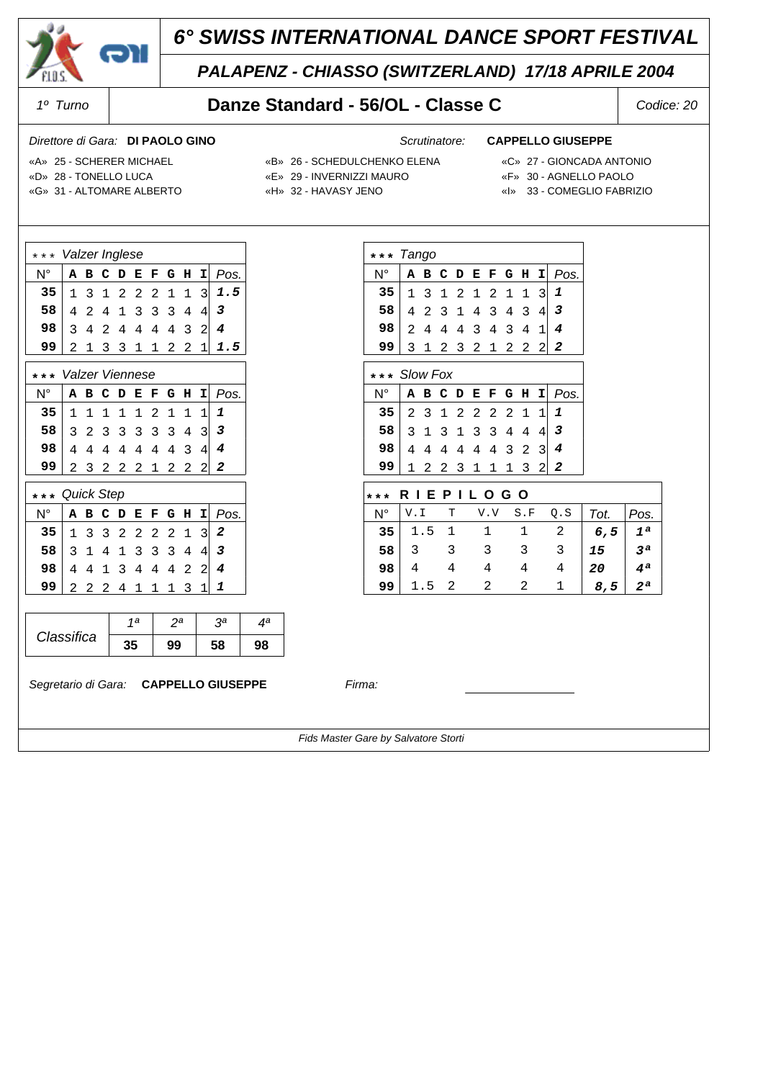

## *PALAPENZ - CHIASSO (SWITZERLAND) 17/18 APRILE 2004*

### *1º Turno* **Danze Standard - 56/OL - Classe C** *Codice: 20*

### *Direttore di Gara: Scrutinatore:* **DI PAOLO GINO CAPPELLO GIUSEPPE**

N° **ABCDEFGHI** *Pos.* 13 1 2 12 11 3 *1* 42 3 1 43 43 4 *3* 24 4 4 34 34 1 *4* 3 1 2 3 2 1 2 2 2 2

N° **ABCDEFGHI** *Pos.* 23 1 2 22 21 1 *1* 31 3 1 33 44 4 *3* 44 4 4 44 32 3 *4* 12 2 3 11 13 2 *2*

N° V.I T V.V S.F Q.S *Tot. Pos.* 1.5 1 1 1 2 *6,5 1ª* 3 3 3 3 3 *15 3ª* 4 4 4 4 4 *20 4ª* 1.5 2 2 2 1 *8,5 2ª*

 **\* \* \* R I E P I L O G O**

- «D» 28 TONELLO LUCA «E» 29 INVERNIZZI MAURO «F» 30 AGNELLO PAOLO
- «A» 25 SCHERER MICHAEL «B» 26 SCHEDULCHENKO ELENA «C» 27 GIONCADA ANTONIO

**\* \* \*** *Tango*

**\* \* \*** *Slow Fox*

- 
- «G» 31 ALTOMARE ALBERTO «H» 32 HAVASY JENO «I» 33 COMEGLIO FABRIZIO
- 
- -

| $* *$<br>*       | Valzer Inglese  |                |   |             |                |   |                |   |                |                         |
|------------------|-----------------|----------------|---|-------------|----------------|---|----------------|---|----------------|-------------------------|
| $N^{\circ}$      | А               | в              | c | D           | E              | F | G              | н | I              | Pos.                    |
| 35               | 1               | 3              | 1 | 2           | 2              | 2 | 1              | 1 | 3              | 1.5                     |
| 58               | 4               | $\overline{2}$ | 4 | $\mathbf 1$ | 3              | 3 | 3              | 4 | 4              | 3                       |
| 98               | 3               | 4              | 2 | 4           | 4              | 4 | 4              | 3 | $\overline{2}$ | $\overline{4}$          |
| 99               | 2               | 1              | 3 | 3           | 1              | 1 | 2              | 2 | 1              | 1.5                     |
| $* *$            | Valzer Viennese |                |   |             |                |   |                |   |                |                         |
| N°               | Α               | в              | c | D           | E              | F | G              | н | I              | Pos.                    |
| 35               | 1               | 1              | 1 | 1           | 1              | 2 | 1              | 1 | 1              | 1                       |
| 58               | 3               | $\overline{2}$ | 3 | 3           | 3              | 3 | 3              | 4 | 3              | $\mathbf{3}$            |
| 98               | 4               | 4              | 4 | 4           | 4              | 4 | 4              | 3 | 4              | $\overline{4}$          |
| 99               | 2               | 3              | 2 | 2           | 2              | 1 | 2              | 2 | 2              | $\overline{a}$          |
| $* *$<br>$\star$ | Quick Step      |                |   |             |                |   |                |   |                |                         |
| $N^{\circ}$      | А               | в              | C | D           | Е              | F | G              | н | I              | Pos.                    |
| 35               | 1               | 3              | 3 | 2           | 2              | 2 | 2              | 1 | 3              | 2                       |
| 58               | 3               | $\mathbf{1}$   | 4 | 1           | 3              | 3 | 3              | 4 | 4              | $\overline{\mathbf{3}}$ |
| 98               | 4               | 4              | 1 | 3           | 4              | 4 | $\overline{4}$ | 2 | $\overline{2}$ | $\overline{4}$          |
| 99               | 2               | 2              | 2 | 4           | 1              | 1 | 1              | 3 | 1              | 1                       |
|                  |                 |                |   |             |                |   |                |   |                |                         |
|                  |                 |                |   |             | 1 <sub>a</sub> |   | 2 <sup>a</sup> |   |                | 3 <sup>a</sup>          |
| Classifica       |                 |                |   |             | 35             |   | 99             |   |                | 58                      |

*Segretario di Gara:* **CAPPELLO GIUSEPPE** *Firma:*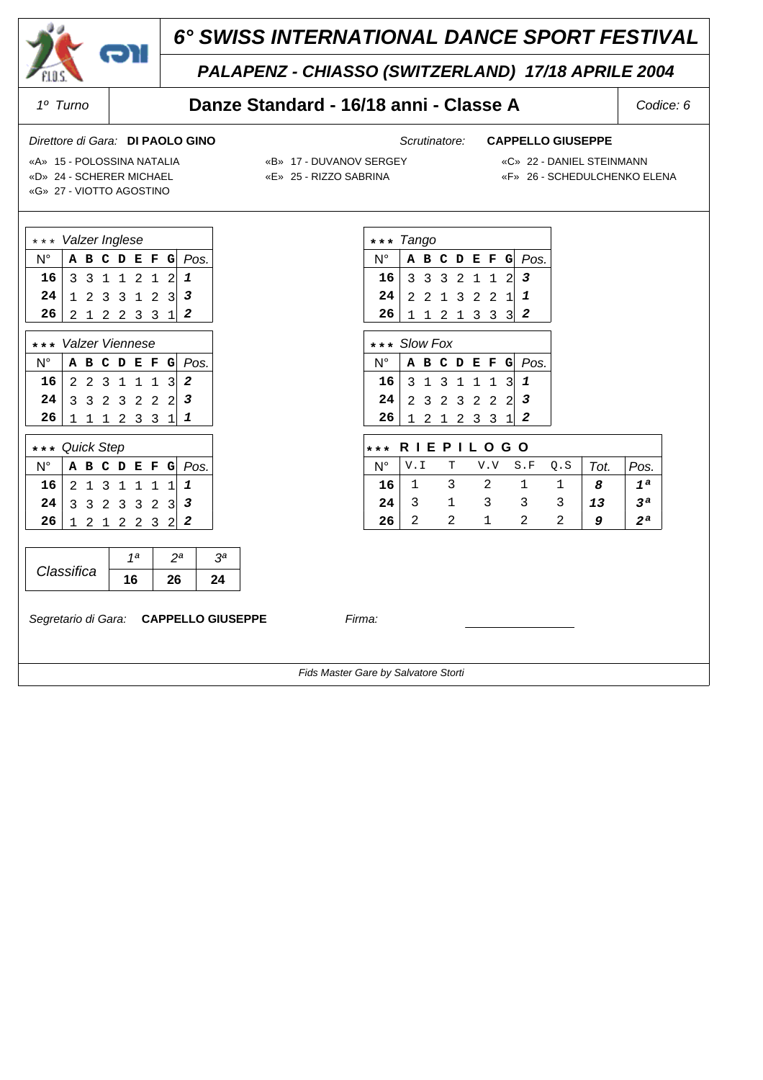

## *PALAPENZ - CHIASSO (SWITZERLAND) 17/18 APRILE 2004*

## *1º Turno* **Danze Standard - 16/18 anni - Classe A** *Codice: 6*

### *Direttore di Gara: Scrutinatore:* **DI PAOLO GINO CAPPELLO GIUSEPPE**

«D» 24 - SCHERER MICHAEL «E» 25 - RIZZO SABRINA «F» 26 - SCHEDULCHENKO ELENA

- «A» 15 POLOSSINA NATALIA «B» 17 DUVANOV SERGEY «C» 22 DANIEL STEINMANN
	-

«G» 27 - VIOTTO AGOSTINO

| «G» 27 - VIOTTO AGOSTINO |  |
|--------------------------|--|
|                          |  |
| *** Valzer Inglese       |  |
|                          |  |

| $N^{\circ}$                                                                                                                                             |  |  |  | A B C D E F G Pos. |
|---------------------------------------------------------------------------------------------------------------------------------------------------------|--|--|--|--------------------|
| $\begin{array}{c cccccc} 16 & 3 & 3 & 1 & 1 & 2 & 1 & 2 & 1 \\ 24 & 1 & 2 & 3 & 3 & 1 & 2 & 3 & 3 \\ 26 & 2 & 1 & 2 & 2 & 3 & 3 & 1 & 2 \\ \end{array}$ |  |  |  |                    |
|                                                                                                                                                         |  |  |  |                    |
|                                                                                                                                                         |  |  |  |                    |

| *** Valzer Viennese                                                                                                                |  |  |  |             |  |  |  |                    |
|------------------------------------------------------------------------------------------------------------------------------------|--|--|--|-------------|--|--|--|--------------------|
|                                                                                                                                    |  |  |  |             |  |  |  | A B C D E F G Pos. |
|                                                                                                                                    |  |  |  |             |  |  |  |                    |
| $\begin{array}{c cccccc}\n\textbf{16} & 2 & 2 & 3 & 1 & 1 & 1 & 3 & 2 \\ \textbf{24} & 3 & 3 & 2 & 3 & 2 & 2 & 2 & 3\n\end{array}$ |  |  |  |             |  |  |  |                    |
|                                                                                                                                    |  |  |  | 1 1 1 2 3 3 |  |  |  |                    |

| *** Quick Step |                 |  |  |                    |
|----------------|-----------------|--|--|--------------------|
| N۰             |                 |  |  | A B C D E F G Pos. |
| 16             | $2$ 1 3 1 1 1 1 |  |  |                    |
| 24             | $3$ 3 2 3 3 2 3 |  |  |                    |
| 26             | 1 2 1 2 2 3 2   |  |  |                    |

|            | 1a | nа | 2a |
|------------|----|----|----|
| Classifica | 16 |    | 24 |

*Segretario di Gara:* **CAPPELLO GIUSEPPE** *Firma:*

|                | *** Tango |   |                |                |              |           |                  |
|----------------|-----------|---|----------------|----------------|--------------|-----------|------------------|
| N°             | A         |   |                |                |              |           | B C D E F G Pos. |
| 16             | 3         |   | 3 3 2          | $\mathbf{1}$   | $\mathbf{1}$ |           | $2 \mid 3$       |
| 24             |           |   | 2 2 1 3 2 2 1  |                |              |           | 1                |
| 26             | 1         | 1 | 2 1            | 3 <sup>3</sup> |              | 3         | 2                |
|                |           |   |                |                |              |           |                  |
| * * * Slow Fox |           |   |                |                |              |           |                  |
|                |           |   |                |                |              |           |                  |
| N°             | А         |   | <b>BCDEFG</b>  |                |              |           | Pos.             |
| 16             | 3         | 1 | 3 <sub>1</sub> | $\mathbf{1}$   | $\mathbf 1$  | $\vert$ 3 | 1                |
| 24             |           |   | 2 3 2 3 2 2 2  |                |              |           | 3                |

| R I E P I L O G O<br>* * * |  |  |           |  |     |      |      |  |  |
|----------------------------|--|--|-----------|--|-----|------|------|--|--|
| N <sup>o</sup>             |  |  | T V.V S.F |  | Q.S | Tot. | Pos. |  |  |
| 16                         |  |  |           |  |     |      | 1 a  |  |  |
| 24                         |  |  |           |  |     | 13   | 2a   |  |  |
| 26                         |  |  |           |  |     |      |      |  |  |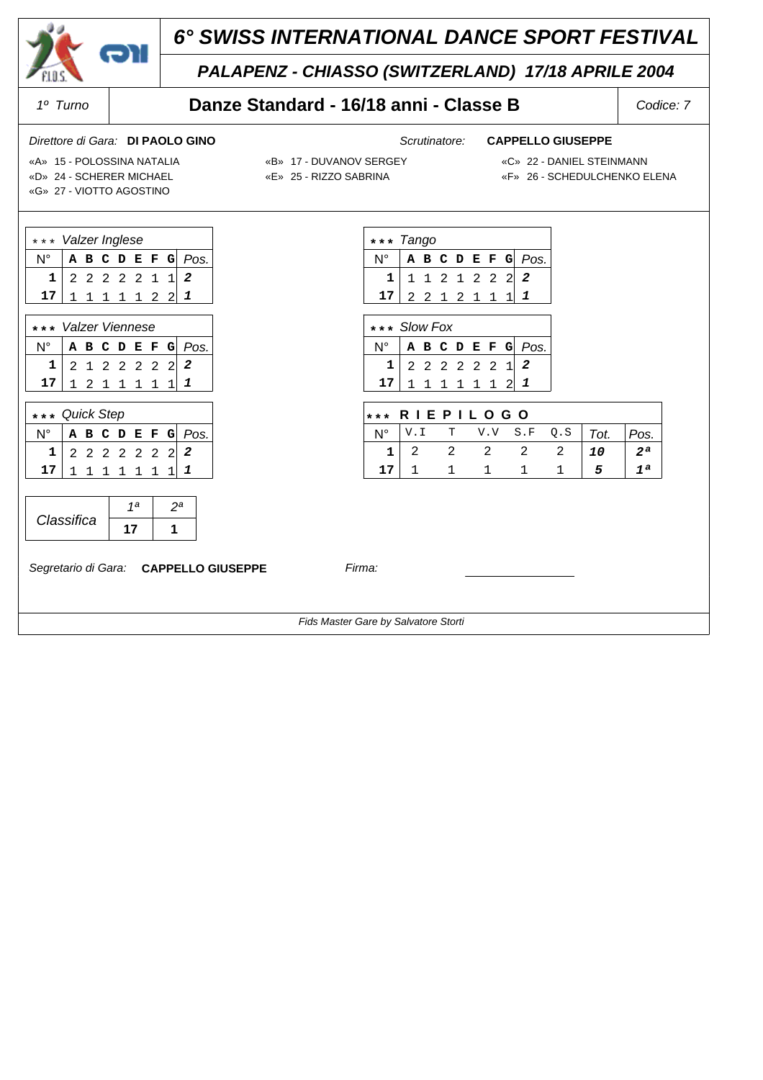

## *PALAPENZ - CHIASSO (SWITZERLAND) 17/18 APRILE 2004*

### *1º Turno* **Danze Standard - 16/18 anni - Classe B** *Codice: 7*

### *Direttore di Gara: Scrutinatore:* **DI PAOLO GINO CAPPELLO GIUSEPPE**

N° **ABCDEFG** *Pos.* **1** 1 1 2 1 2 2 2 2  **17** 22 1 2 11 1 *1*

N° **ABCDEFG** *Pos.*  **1** 22 2 2 22 1 *2*  **17** 11 1 1 11 2 *1*

 **\* \* \* R I E P I L O G O**

N° V.I T V.V S.F Q.S *Tot. Pos.*  **1** 2 2 2 2 2 *10 2ª*  **17** 1 1 1 1 1 *5 1ª*

«G» 27 - VIOTTO AGOSTINO

- «A» 15 POLOSSINA NATALIA «B» 17 DUVANOV SERGEY «C» 22 DANIEL STEINMANN
	-
	-

**\* \* \*** *Tango*

**\* \* \*** *Slow Fox*

«D» 24 - SCHERER MICHAEL «E» 25 - RIZZO SABRINA «F» 26 - SCHEDULCHENKO ELENA

| *** Valzer Inglese  |  |  |  |                                                                                                       |  |  |  |                    |
|---------------------|--|--|--|-------------------------------------------------------------------------------------------------------|--|--|--|--------------------|
|                     |  |  |  |                                                                                                       |  |  |  | A B C D E F G Pos. |
|                     |  |  |  | $\begin{array}{ccccccc c} 2 & 2 & 2 & 2 & 2 & 1 & 1 & 2 \\ 1 & 1 & 1 & 1 & 1 & 2 & 2 & 1 \end{array}$ |  |  |  |                    |
| 17 <sup>1</sup>     |  |  |  |                                                                                                       |  |  |  |                    |
|                     |  |  |  |                                                                                                       |  |  |  |                    |
| *** Valzer Viennese |  |  |  |                                                                                                       |  |  |  |                    |

|                    |          |  |  |  | $N^{\circ}$ A B C D E F G $Pos$ . |
|--------------------|----------|--|--|--|-----------------------------------|
|                    | 12122222 |  |  |  |                                   |
| $17$ 1 2 1 1 1 1 1 |          |  |  |  |                                   |

| *** Quick Step  |  |                 |  |                    |
|-----------------|--|-----------------|--|--------------------|
|                 |  |                 |  | A B C D E F G Pos. |
| $1 \mid$        |  | 2 2 2 2 2 2 2 2 |  |                    |
| 17 <sub>1</sub> |  | 1 1 1 1 1 1     |  |                    |

|            | ۱a |  |
|------------|----|--|
| Classifica |    |  |

*Segretario di Gara:* **CAPPELLO GIUSEPPE** *Firma:*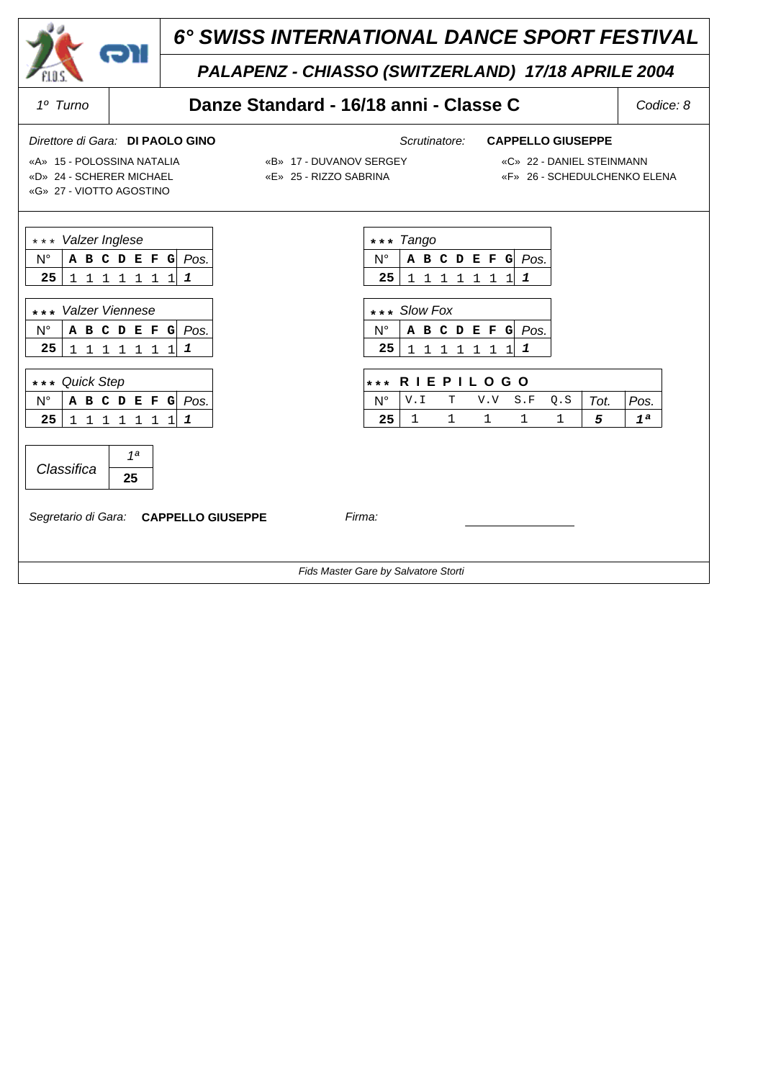

## *PALAPENZ - CHIASSO (SWITZERLAND) 17/18 APRILE 2004*

## *1º Turno* **Danze Standard - 16/18 anni - Classe C** *Codice: 8*

### *Direttore di Gara: Scrutinatore:* **DI PAOLO GINO CAPPELLO GIUSEPPE**

«D» 24 - SCHERER MICHAEL «E» 25 - RIZZO SABRINA «F» 26 - SCHEDULCHENKO ELENA «G» 27 - VIOTTO AGOSTINO

«A» 15 - POLOSSINA NATALIA «B» 17 - DUVANOV SERGEY «C» 22 - DANIEL STEINMANN

- 
- 

| *** Valzer Inglese                                                                                             | *** Tango                                                                                                 |
|----------------------------------------------------------------------------------------------------------------|-----------------------------------------------------------------------------------------------------------|
| $N^{\circ}$<br>A B C D E F G Pos.                                                                              | Pos.<br>N°<br>A B C D E F G                                                                               |
| 25<br>1<br>1 1 1 1<br>1<br>1<br>1                                                                              | 25<br>1<br>$\mathbf{1}$<br>$\mathbf{1}$<br>1 1 1<br>$1\vert$<br>1                                         |
| *** Valzer Viennese<br>$N^{\circ}$<br>A B C D E F G Pos.<br>25<br>1<br>$\mathbf{1}$<br>$1\quad1$<br>1 1 1<br>1 | *** Slow Fox<br>N°<br>Pos.<br>A B C D E F G<br>25<br>1<br>1<br>$1\quad1$<br>1 <sup>1</sup><br>1<br>1<br>1 |
| *** Quick Step                                                                                                 | <b>RIEPILOGO</b><br>$* * *$                                                                               |
| $N^{\circ}$<br>A B C D E F G Pos.                                                                              | V.I<br>$\mathbb T$<br>S.F<br>Q.S<br>N°<br>V.V<br>Tot.<br>Pos.                                             |
| 25<br>1 1 1 1<br>1<br>1<br>1<br>1                                                                              | $\mathbf 1$<br>$\mathbf{1}$<br>$\mathbf{1}$<br>25<br>1<br>1<br>5<br>1 <sup>a</sup>                        |
| 1 <sub>a</sub><br>Classifica<br>25<br>Segretario di Gara: CAPPELLO GIUSEPPE                                    | Firma:                                                                                                    |
|                                                                                                                | Fids Master Gare by Salvatore Storti                                                                      |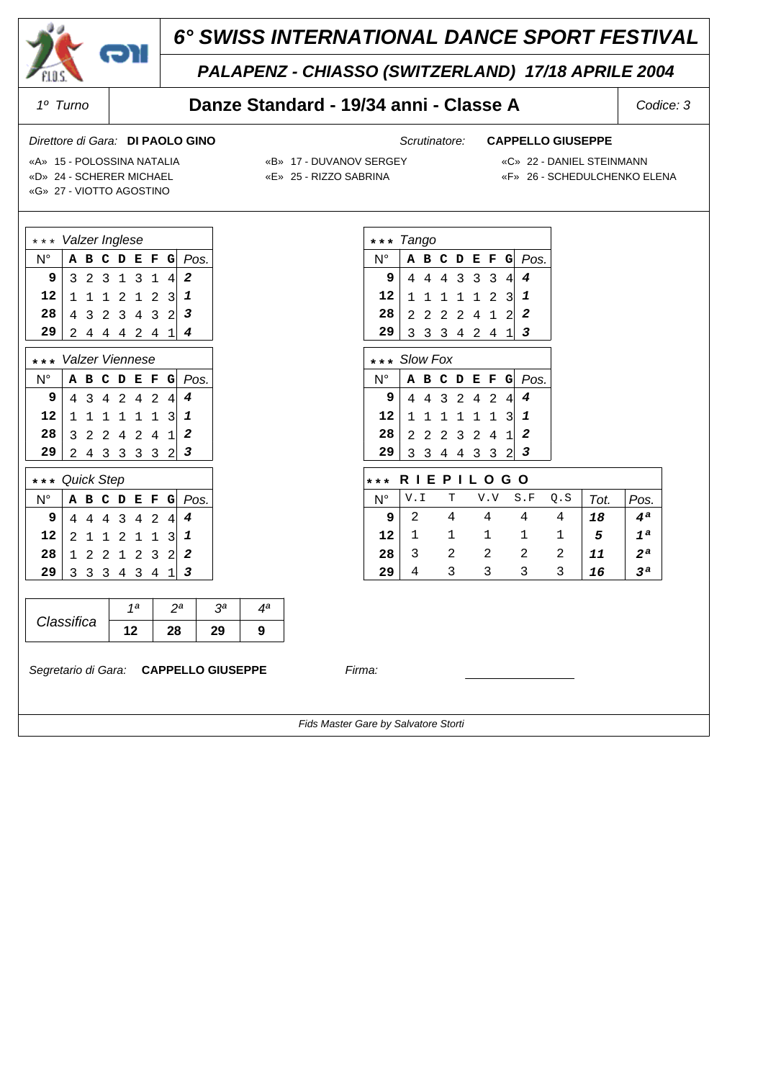

## *PALAPENZ - CHIASSO (SWITZERLAND) 17/18 APRILE 2004*

**\* \* \*** *Tango*

**\* \* \*** *Slow Fox*

### *1º Turno* **Danze Standard - 19/34 anni - Classe A** *Codice: 3*

### *Direttore di Gara: Scrutinatore:* **DI PAOLO GINO CAPPELLO GIUSEPPE**

N° **ABCDEFG** *Pos.* 44 4 3 33 4 *4* 11 1 1 12 3 *1* 2 2 2 2 4 1 2 2 33 3 4 24 1 *3*

N° **ABCDEFG** *Pos.* 44 3 2 42 4 *4* 11 1 1 11 3 *1* 22 2 3 24 1 *2* 33 4 4 33 2 *3*

 **\* \* \* R I E P I L O G O**

 $N^{\circ}$  V.I T V.V S.F Q.S  $Tot.$  Pos.  **9** 2 4 4 4 4 *18 4ª*

«D» 24 - SCHERER MICHAEL «E» 25 - RIZZO SABRINA «F» 26 - SCHEDULCHENKO ELENA

- «A» 15 POLOSSINA NATALIA «B» 17 DUVANOV SERGEY «C» 22 DANIEL STEINMANN
	-

«G» 27 - VIOTTO AGOSTINO

|  | «D» TI - DUVANUV SENG  |
|--|------------------------|
|  | «E» 25 - RIZZO SABRINA |

| *                          | Valzer Inglese |                |              |                |   |                |                |   |      |  |  |  |  |
|----------------------------|----------------|----------------|--------------|----------------|---|----------------|----------------|---|------|--|--|--|--|
| $N^{\circ}$                | A              | в              | С            | D              | E | F              | G              |   | Pos. |  |  |  |  |
| 9                          | 3              | $\overline{2}$ | 3            | $\mathbf{1}$   | 3 | 1              | 4              | 2 |      |  |  |  |  |
| 12                         | $\mathbf{1}$   | 1              | 1            | 2              | 1 | $\overline{2}$ | 3              | 1 |      |  |  |  |  |
| 28                         | 4              | 3              | 2            | 3              | 4 | 3              | $\overline{c}$ | 3 |      |  |  |  |  |
| 29                         | 2              | 4              | 4            | 4              | 2 | 4              | $\overline{1}$ | 4 |      |  |  |  |  |
| Valzer Viennese<br>$\star$ |                |                |              |                |   |                |                |   |      |  |  |  |  |
| $N^{\circ}$                | A              | в              | C            | D              | E | F              | G              |   | Pos. |  |  |  |  |
| 9                          | 4              | 3              | 4            | $\overline{2}$ | 4 | $\overline{2}$ | 4              | 4 |      |  |  |  |  |
| 12                         | $\mathbf{1}$   | $\mathbf 1$    | $\mathbf{1}$ | 1              | 1 | 1              | 3              | 1 |      |  |  |  |  |
| 28                         | 3              | $\overline{2}$ | 2            | 4              | 2 | 4              | 1              | 2 |      |  |  |  |  |
| 29                         | 2              | 4              | 3            | 3              | 3 | 3              | 2              | 3 |      |  |  |  |  |
| $\star$                    | Quick Step     |                |              |                |   |                |                |   |      |  |  |  |  |
| N°                         | А              | в              | c            | D              | E | F              | G              |   | Pos. |  |  |  |  |
| 9                          | 4              | 4              | 4            | 3              | 4 | $\overline{2}$ | 4              | 4 |      |  |  |  |  |
| 12                         | $\overline{2}$ | 1              | 1            | 2              | 1 | 1              | 3              | 1 |      |  |  |  |  |
| 28                         | 1              | 2              | 2            | 1              | 2 | 3              | $\overline{c}$ | 2 |      |  |  |  |  |
| 29                         | 3              | 3              | 3            | 4              | 3 | 4              | $\mathbf 1$    | 3 |      |  |  |  |  |
|                            |                |                |              |                |   |                |                |   |      |  |  |  |  |
| 1 <sup>a</sup><br>$2^a$    |                |                |              |                |   |                |                |   |      |  |  |  |  |
| Classifica                 |                |                |              |                |   |                |                |   |      |  |  |  |  |

*Segretario di Gara:* **CAPPELLO GIUSEPPE** *Firma:*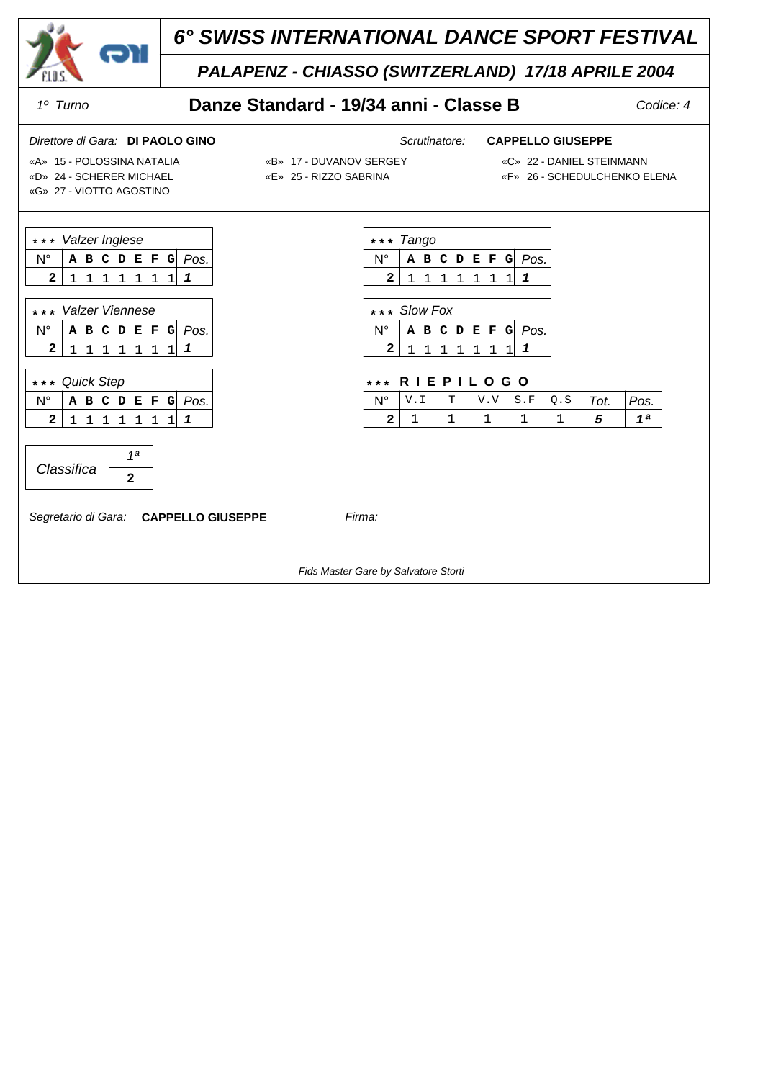

### \* \* \* *Valzer Inglese* N° **ABCDEFG** *Pos.*  **2** 1 11 11 11 *1* **\* \* \*** *Tango* N° **ABCDEFG** *Pos.*  **2** 11 1 1 11 1 *1* **\* \* \*** *Valzer Viennese* N° **ABCDEFG** *Pos.*  **2** 1 11 11 11 *1* **\* \* \*** *Slow Fox* N° **ABCDEFG** *Pos.*  **2** 11 1 1 11 1 *1* **\* \* \*** *Quick Step* N° **ABCDEFG** *Pos.*  **2** 1 11 11 11 *1*  **\* \* \* R I E P I L O G O**  $N^{\circ}$  V.I T V.V S.F Q.S  $\sqrt{Tot}$ . Pos.  **2** 1 1 1 1 1 *5 1ª Classifica 1ª*  **2** *Segretario di Gara:* **CAPPELLO GIUSEPPE** *Firma: Fids Master Gare by Salvatore Storti*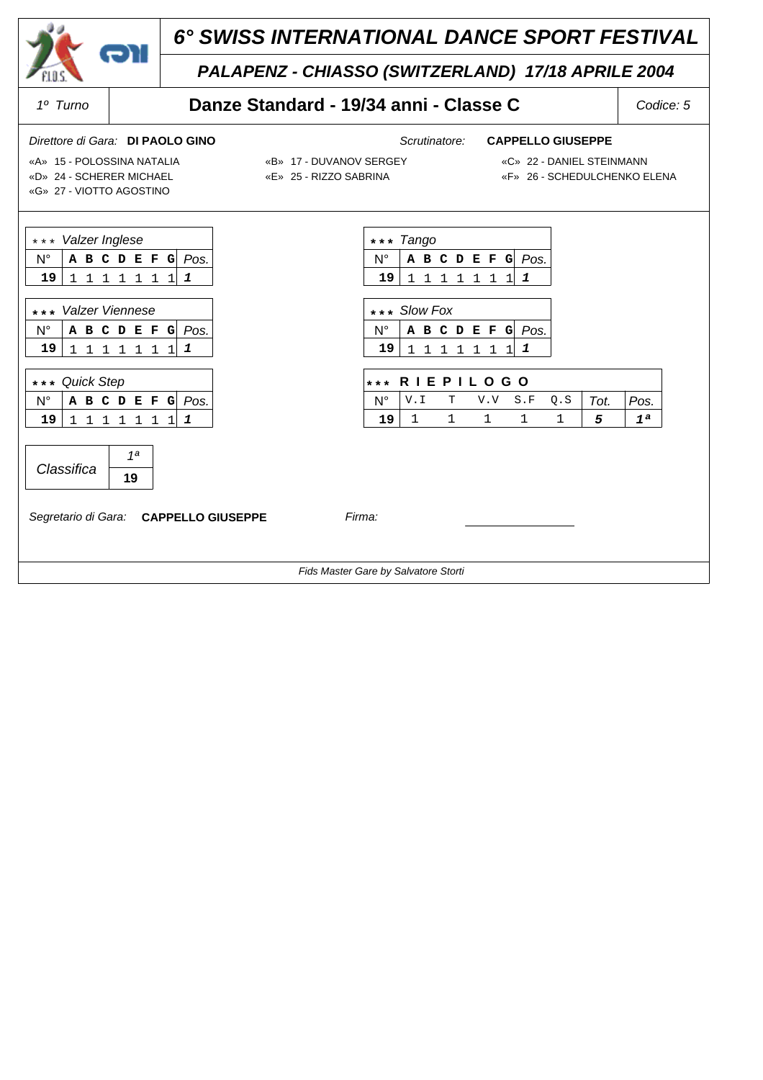

## *PALAPENZ - CHIASSO (SWITZERLAND) 17/18 APRILE 2004*

### *1º Turno* **Danze Standard - 19/34 anni - Classe C** *Codice: 5*

### *Direttore di Gara: Scrutinatore:* **DI PAOLO GINO CAPPELLO GIUSEPPE**

«D» 24 - SCHERER MICHAEL «E» 25 - RIZZO SABRINA «F» 26 - SCHEDULCHENKO ELENA «G» 27 - VIOTTO AGOSTINO

«A» 15 - POLOSSINA NATALIA «B» 17 - DUVANOV SERGEY «C» 22 - DANIEL STEINMANN

- 
- 

| *** Valzer Inglese                                                                                                                            | *** Tango                                                                                                    |
|-----------------------------------------------------------------------------------------------------------------------------------------------|--------------------------------------------------------------------------------------------------------------|
| $N^{\circ}$<br>Pos.<br>A B C D E F G                                                                                                          | $N^{\circ}$<br>Pos.<br>A B C D E F G                                                                         |
| 19<br>1<br>1 1 1 1 1 1<br>1                                                                                                                   | 19<br>1<br>1 1 1 1 1 1                                                                                       |
| *** Valzer Viennese<br>N°<br>Pos.<br>A B C D E F<br>G<br>19<br>1<br>$\mathbf{1}$<br>$1\quad1$<br>$\mathbf{1}$<br>$\mathbf{1}$<br>$\mathbf{1}$ | *** Slow Fox<br>N°<br>Pos.<br>A B C D E F G<br>19<br>1<br>$\mathbf{1}$<br>1 1 1<br>$1\quad1$<br>$\mathbf{1}$ |
| *** Quick Step                                                                                                                                | <b>RIEPILOGO</b><br>$***$                                                                                    |
| $N^{\circ}$<br>Pos.<br>A B C D E F G                                                                                                          | $N^{\circ}$<br>V.I<br>$\mathbb T$<br>S.F<br>Q.S<br>Pos.<br>V.V<br>Tot.                                       |
| 19<br>1<br>1 1 1 1<br>1<br>$\mathbf{1}$<br>1                                                                                                  | $\mathbf 1$<br>1<br>1<br>$\mathbf 1$<br>$\mathbf{1}$<br>19<br>5<br>1 <sup>a</sup>                            |
| 1 <sub>a</sub><br>Classifica<br>19<br>Segretario di Gara: CAPPELLO GIUSEPPE                                                                   | Firma:                                                                                                       |
|                                                                                                                                               | Fids Master Gare by Salvatore Storti                                                                         |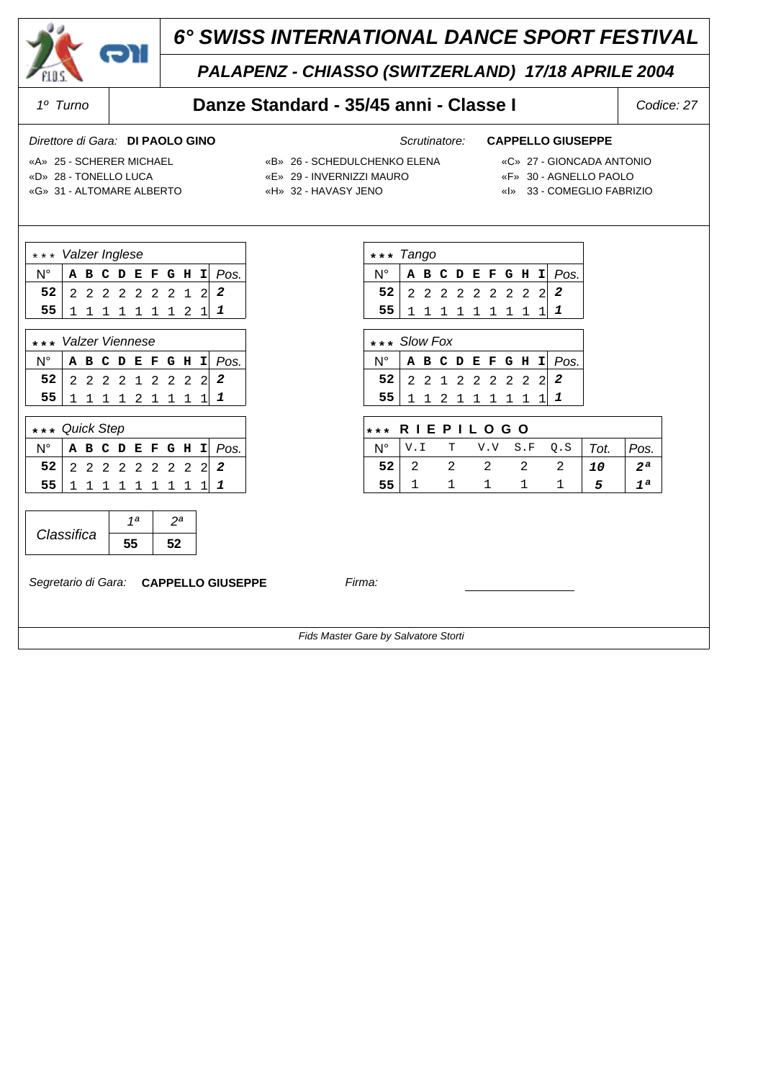

## *PALAPENZ - CHIASSO (SWITZERLAND) 17/18 APRILE 2004*

### *1º Turno* **Danze Standard - 35/45 anni - Classe I** *Codice: 27*

### *Direttore di Gara: Scrutinatore:* **DI PAOLO GINO CAPPELLO GIUSEPPE**

N° **ABCDEFGHI** *Pos.*  **52** 22 2 2 22 22 2 *2*  **55** 11 1 1 11 11 1 *1*

N° **ABCDEFGHI** *Pos.*  **52** 22 1 2 22 22 2 *2*  **55** 11 2 1 11 11 1 *1*

N° V.I T V.V S.F Q.S *Tot. Pos.*  **52** 2 2 2 2 2 *10 2ª*  **55** 1 1 1 1 1 *5 1ª*

 **\* \* \* R I E P I L O G O**

- «D» 28 TONELLO LUCA «E» 29 INVERNIZZI MAURO «F» 30 AGNELLO PAOLO
- 

**\* \* \*** *Tango*

**\* \* \*** *Slow Fox*

- 
- 
- «A» 25 SCHERER MICHAEL «B» 26 SCHEDULCHENKO ELENA «C» 27 GIONCADA ANTONIO
	-
- «G» 31 ALTOMARE ALBERTO «H» 32 HAVASY JENO «I» 33 COMEGLIO FABRIZIO

| *** Valzer Inglese |  |  |  |  |  |  |  |               |  |                        |  |
|--------------------|--|--|--|--|--|--|--|---------------|--|------------------------|--|
|                    |  |  |  |  |  |  |  |               |  | A B C D E F G H I Pos. |  |
| 52                 |  |  |  |  |  |  |  |               |  | 2 2 2 2 2 2 2 1 2 2    |  |
|                    |  |  |  |  |  |  |  | 1 1 1 1 1 1 2 |  |                        |  |
|                    |  |  |  |  |  |  |  |               |  |                        |  |

| *** Valzer Viennese    |  |  |  |  |  |  |  |                 |  |                                    |  |  |  |
|------------------------|--|--|--|--|--|--|--|-----------------|--|------------------------------------|--|--|--|
|                        |  |  |  |  |  |  |  |                 |  | $N^{\circ}$ A B C D E F G H I Pos. |  |  |  |
| 52 2 2 2 2 1 2 2 2 2 2 |  |  |  |  |  |  |  |                 |  |                                    |  |  |  |
| 55 I                   |  |  |  |  |  |  |  | 1 1 1 1 2 1 1 1 |  |                                    |  |  |  |

| *** Quick Step             |  |  |  |             |  |  |  |  |  |                        |  |
|----------------------------|--|--|--|-------------|--|--|--|--|--|------------------------|--|
|                            |  |  |  |             |  |  |  |  |  | A B C D E F G H I Pos. |  |
| $52$ 2 2 2 2 2 2 2 2 2 2 2 |  |  |  |             |  |  |  |  |  |                        |  |
| 55                         |  |  |  | 1 1 1 1 1 1 |  |  |  |  |  |                        |  |

|            | ı a |  |
|------------|-----|--|
| Classifica |     |  |

*Segretario di Gara:* **CAPPELLO GIUSEPPE** *Firma:*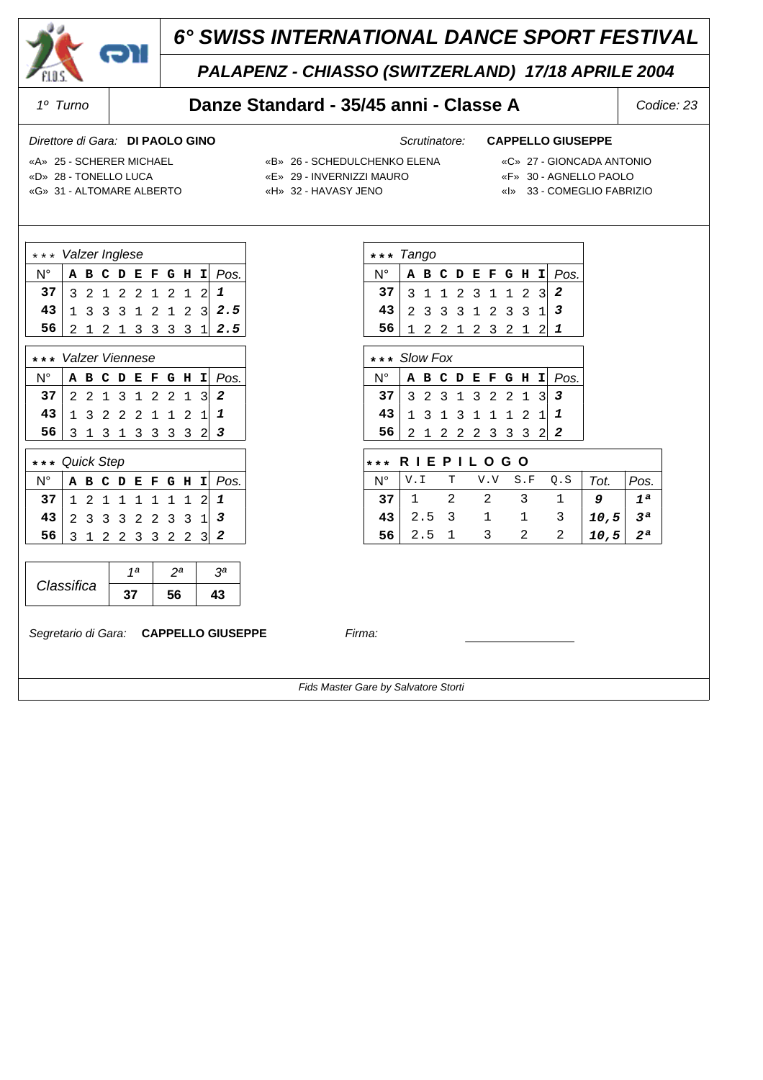

## *PALAPENZ - CHIASSO (SWITZERLAND) 17/18 APRILE 2004*

### *1º Turno* **Danze Standard - 35/45 anni - Classe A** *Codice: 23*

### *Direttore di Gara: Scrutinatore:* **DI PAOLO GINO CAPPELLO GIUSEPPE**

- «D» 28 TONELLO LUCA «E» 29 INVERNIZZI MAURO «F» 30 AGNELLO PAOLO
- «A» 25 SCHERER MICHAEL «B» 26 SCHEDULCHENKO ELENA «C» 27 GIONCADA ANTONIO
	-

N° **ABCDEFGHI** *Pos.* 31 1 2 31 12 3 *2* 23 3 3 12 33 1 *3* 12 2 1 23 21 2 *1*

N° **ABCDEFGHI** *Pos.* | 3 2 3 1 3 2 2 1 3 | 3 13 1 3 11 12 1 *1* 21 2 2 23 33 2 *2*

N° V.I T V.V S.F Q.S *Tot. Pos.* 1 2 2 3 1 *9 1ª* 2.5 3 1 1 3 *10,5 3ª* 2.5 1 3 2 2 *10,5 2ª*

 **\* \* \* R I E P I L O G O**

**\* \* \*** *Tango*

**\* \* \*** *Slow Fox*

- 
- «G» 31 ALTOMARE ALBERTO «H» 32 HAVASY JENO «I» 33 COMEGLIO FABRIZIO

| *** Valzer Inglese       |  |  |  |  |  |  |  |  |  |                                                                          |  |  |
|--------------------------|--|--|--|--|--|--|--|--|--|--------------------------------------------------------------------------|--|--|
| $N^{\circ}$              |  |  |  |  |  |  |  |  |  | A B C D E F G H I Pos.                                                   |  |  |
| 37 3 2 1 2 2 1 2 1 2 $1$ |  |  |  |  |  |  |  |  |  |                                                                          |  |  |
|                          |  |  |  |  |  |  |  |  |  | $43 \begin{vmatrix} 1 & 3 & 3 & 3 & 1 & 2 & 1 & 2 & 3 \end{vmatrix}$ 2.5 |  |  |
| 56 <sup>1</sup>          |  |  |  |  |  |  |  |  |  | 2 1 2 1 3 3 3 3 1 2.5                                                    |  |  |
|                          |  |  |  |  |  |  |  |  |  |                                                                          |  |  |

| *** Valzer Viennese                                                        |  |  |  |  |  |  |  |  |  |                        |  |  |  |
|----------------------------------------------------------------------------|--|--|--|--|--|--|--|--|--|------------------------|--|--|--|
| N° I                                                                       |  |  |  |  |  |  |  |  |  | A B C D E F G H I Pos. |  |  |  |
| 37 2 2 1 3 1 2 2 1 3 2<br>43 1 3 2 2 2 1 1 2 1 1<br>56 3 1 3 1 3 3 3 3 2 3 |  |  |  |  |  |  |  |  |  |                        |  |  |  |
|                                                                            |  |  |  |  |  |  |  |  |  |                        |  |  |  |
|                                                                            |  |  |  |  |  |  |  |  |  |                        |  |  |  |

| *** Quick Step           |  |  |  |  |  |  |  |                     |  |                        |  |  |
|--------------------------|--|--|--|--|--|--|--|---------------------|--|------------------------|--|--|
| N°                       |  |  |  |  |  |  |  |                     |  | A B C D E F G H I Pos. |  |  |
| 37 <sup>1</sup>          |  |  |  |  |  |  |  | 1 2 1 1 1 1 1 1 2 1 |  |                        |  |  |
| $43$ 2 3 3 3 2 2 3 3 1 3 |  |  |  |  |  |  |  |                     |  |                        |  |  |
| 56                       |  |  |  |  |  |  |  | 3 1 2 2 3 3 2 2 3   |  |                        |  |  |

|            | 1a | эa | oа |
|------------|----|----|----|
| Classifica |    |    |    |

*Segretario di Gara:* **CAPPELLO GIUSEPPE** *Firma:*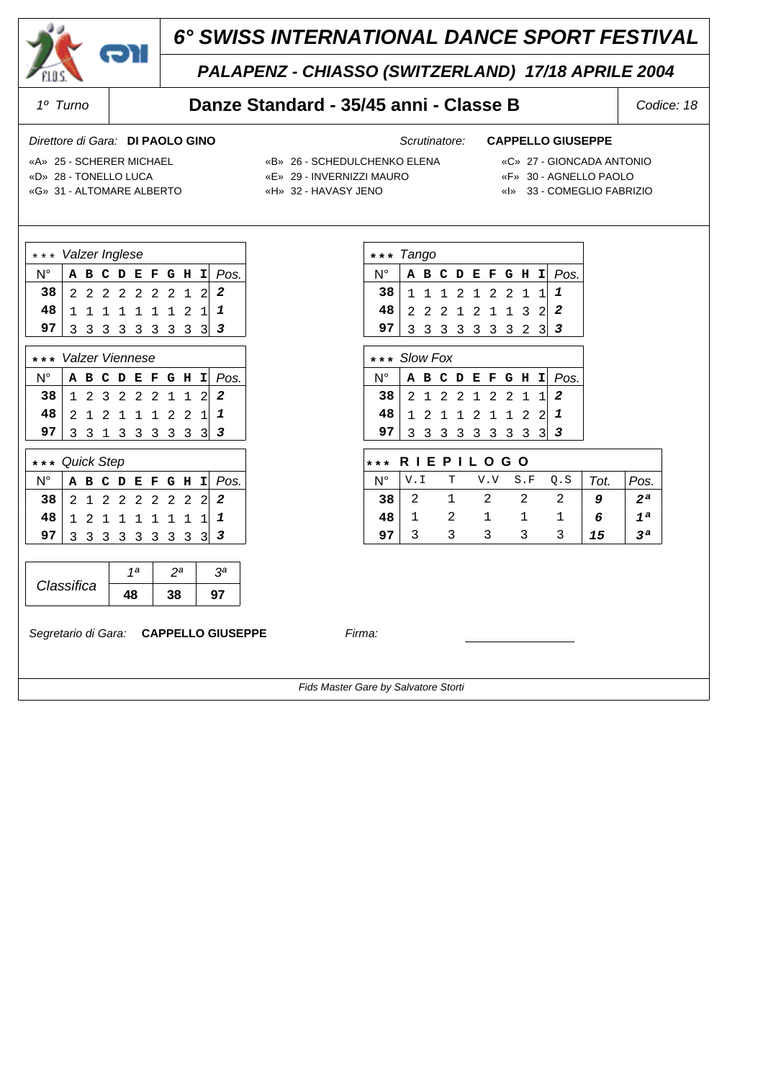

## *PALAPENZ - CHIASSO (SWITZERLAND) 17/18 APRILE 2004*

### *1º Turno* **Danze Standard - 35/45 anni - Classe B** *Codice: 18*

### *Direttore di Gara: Scrutinatore:* **DI PAOLO GINO CAPPELLO GIUSEPPE**

N° **ABCDEFGHI** *Pos.* 11 1 2 12 21 1 *1* 22 2 1 21 13 2 *2* 3 3 3 3 3 3 3 2 3 3

N° **ABCDEFGHI** *Pos.* 21 2 2 12 21 1 *2* 12 1 1 21 12 2 *1* 3 3 3 3 3 3 3 3 3 3

N° V.I T V.V S.F Q.S *Tot. Pos.* 2 1 2 2 2 *9 2ª* 1 2 1 1 1 *6 1ª* 3 3 3 3 3 *15 3ª*

 **\* \* \* R I E P I L O G O**

- «D» 28 TONELLO LUCA «E» 29 INVERNIZZI MAURO «F» 30 AGNELLO PAOLO
- «A» 25 SCHERER MICHAEL «B» 26 SCHEDULCHENKO ELENA «C» 27 GIONCADA ANTONIO

**\* \* \*** *Tango*

**\* \* \*** *Slow Fox*

- 
- «G» 31 ALTOMARE ALBERTO «H» 32 HAVASY JENO «I» 33 COMEGLIO FABRIZIO
- 
- -

| *** Valzer Inglese       |  |  |  |  |  |  |  |               |  |                        |  |
|--------------------------|--|--|--|--|--|--|--|---------------|--|------------------------|--|
| N°                       |  |  |  |  |  |  |  |               |  | A B C D E F G H I Pos. |  |
| 38 2 2 2 2 2 2 2 1 2     |  |  |  |  |  |  |  |               |  | 2                      |  |
| $48$ 1 1 1 1 1 1 1 2 1 1 |  |  |  |  |  |  |  |               |  |                        |  |
|                          |  |  |  |  |  |  |  | 3 3 3 3 3 3 3 |  |                        |  |
|                          |  |  |  |  |  |  |  |               |  |                        |  |

| *** Valzer Viennese                                                                                                            |  |  |  |                             |  |                        |
|--------------------------------------------------------------------------------------------------------------------------------|--|--|--|-----------------------------|--|------------------------|
|                                                                                                                                |  |  |  |                             |  | A B C D E F G H I Pos. |
| $\begin{array}{c cccccc} 38 & 1 & 2 & 3 & 2 & 2 & 2 & 1 & 1 & 2 & 2 \\ 48 & 2 & 1 & 2 & 1 & 1 & 1 & 2 & 2 & 1 & 1 \end{array}$ |  |  |  |                             |  |                        |
|                                                                                                                                |  |  |  |                             |  |                        |
|                                                                                                                                |  |  |  | $3$ 3 1 3 3 3 3 3 3 $\vert$ |  |                        |

| *** Quick Step           |  |  |  |  |  |  |  |                           |  |                        |  |  |
|--------------------------|--|--|--|--|--|--|--|---------------------------|--|------------------------|--|--|
| $N^{\circ}$              |  |  |  |  |  |  |  |                           |  | A B C D E F G H I Pos. |  |  |
| 38 2 1 2 2 2 2 2 2 2 2 2 |  |  |  |  |  |  |  |                           |  |                        |  |  |
| 48                       |  |  |  |  |  |  |  | $1 2 1 1 1 1 1 1 1 1 1 1$ |  |                        |  |  |
|                          |  |  |  |  |  |  |  | 3 3 3 3 3 3 3             |  |                        |  |  |

|            | 1a  | วa | oа |
|------------|-----|----|----|
| Classifica | 1 Q |    |    |

*Segretario di Gara:* **CAPPELLO GIUSEPPE** *Firma:*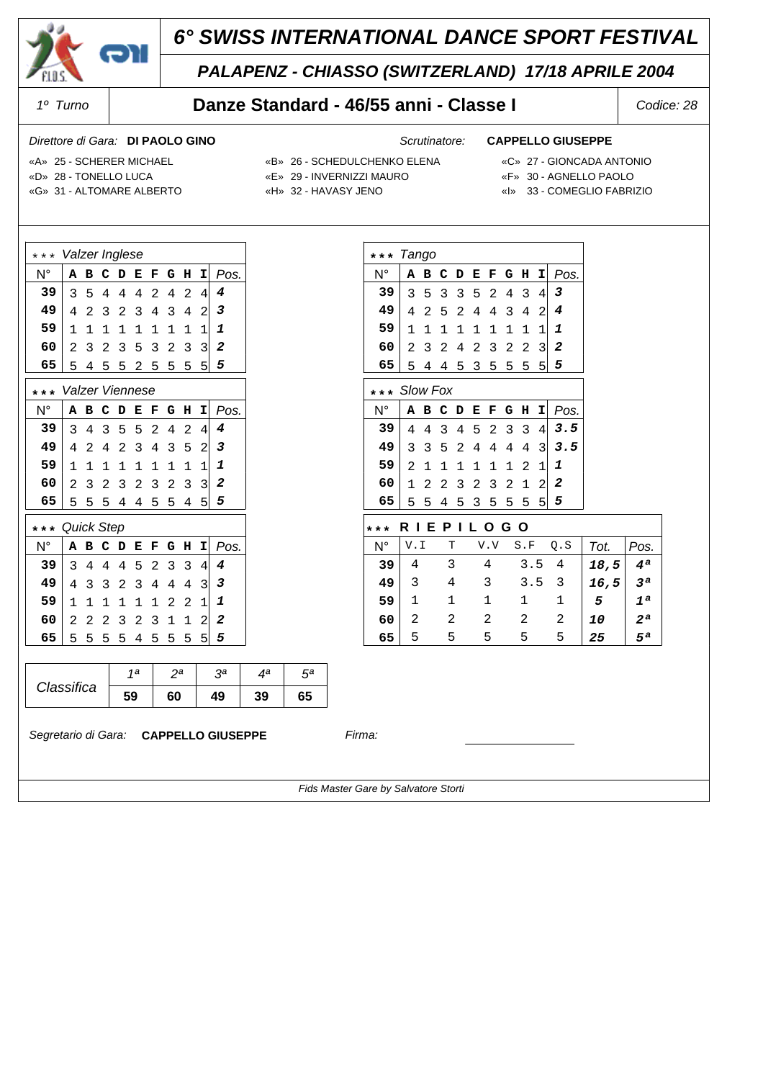

### *PALAPENZ - CHIASSO (SWITZERLAND) 17/18 APRILE 2004*

### *1º Turno* **Danze Standard - 46/55 anni - Classe I** *Codice: 28*

### *Direttore di Gara: Scrutinatore:* **DI PAOLO GINO CAPPELLO GIUSEPPE**

N° **ABCDEFGHI** *Pos.* 35 3 3 52 43 4 *3* 42 5 2 44 34 2 *4* 11 1 1 11 11 1 *1* 23 2 4 23 22 3 *2* 54 4 5 35 55 5 *5*

N° **ABCDEFGHI** *Pos.* 44 3 4 52 33 4 *3.5* 33 5 2 44 44 3 *3.5* 21 1 1 11 12 1 *1* 12 2 3 23 21 2 *2* 55 4 5 35 55 5 *5*

 $N^{\circ}$  V.I T V.V S.F Q.S  $Tot.$  Pos. 4 3 4 3.5 4 *18,5 4ª* 3 4 3 3.5 3 *16,5 3ª* 1 1 1 1 1 *5 1ª* 2 2 2 2 2 *10 2ª* 5 5 5 5 5 *25 5ª*

 **\* \* \* R I E P I L O G O**

- «D» 28 TONELLO LUCA «E» 29 INVERNIZZI MAURO «F» 30 AGNELLO PAOLO
- «A» 25 SCHERER MICHAEL «B» 26 SCHEDULCHENKO ELENA «C» 27 GIONCADA ANTONIO

**\* \* \*** *Tango*

**\* \* \*** *Slow Fox*

- 
- 
- «G» 31 ALTOMARE ALBERTO «H» 32 HAVASY JENO «I» 33 COMEGLIO FABRIZIO

| Valzer Inglese<br>$\star$ |                 |             |   |                |   |                |                |   |                |      |  |  |
|---------------------------|-----------------|-------------|---|----------------|---|----------------|----------------|---|----------------|------|--|--|
| $N^{\circ}$               | Α               | в           | c | D              | E | F              | G              | н | I              | Pos. |  |  |
| 39                        | 3               | 5           | 4 | 4              | 4 | 2              | 4              | 2 | 4              | 4    |  |  |
| 49                        | 4               | 2           | 3 | 2              | 3 | 4              | 3              | 4 | $\overline{c}$ | 3    |  |  |
| 59                        | 1               | $\mathbf 1$ | 1 | 1              | 1 | 1              | 1              | 1 | $\mathbf{1}$   | 1    |  |  |
| 60                        | 2               | 3           | 2 | 3              | 5 | 3              | 2              | 3 | 3              | 2    |  |  |
| 65                        | 5               | 4           | 5 | 5              | 2 | 5              | 5              | 5 | 5              | 5    |  |  |
| $* *$<br>*                | Valzer Viennese |             |   |                |   |                |                |   |                |      |  |  |
| $N^{\circ}$               | A               | в           | c | D              | E | F              | G              | Η | I              | Pos. |  |  |
| 39                        | 3               | 4           | 3 | 5              | 5 | 2              | 4              | 2 | 4              | 4    |  |  |
| 49                        | 4               | 2           | 4 | 2              | 3 | 4              | 3              | 5 | $\overline{c}$ | 3    |  |  |
| 59                        | 1               | 1           | 1 | 1              | 1 | 1              | 1              | 1 | 1              | 1    |  |  |
| 60                        | $\overline{2}$  | 3           | 2 | 3              | 2 | 3              | $\overline{2}$ | 3 | 3              | 2    |  |  |
| 65                        | 5               | 5           | 5 | 4              | 4 | 5              | 5              | 4 | 5              | 5    |  |  |
| $\star$<br>$^{\star}$     | Quick Step      |             |   |                |   |                |                |   |                |      |  |  |
| $N^{\circ}$               | A               | в           | с | D              | E | F              | G              | н | I              | Pos. |  |  |
| 39                        | 3               | 4           | 4 | 4              | 5 | $\overline{2}$ | 3              | 3 | 4              | 4    |  |  |
| 49                        | 4               | 3           | 3 | $\overline{2}$ | 3 | 4              | 4              | 4 | 3              | 3    |  |  |
| 59                        | $\mathbf{1}$    | $\mathbf 1$ | 1 | 1              | 1 | 1              | 2              | 2 | $\overline{1}$ | 1    |  |  |
| 60                        | 2               | 2           | 2 | 3              | 2 | 3              | $\mathbf{1}$   | 1 | $\overline{c}$ | 2    |  |  |
| 65                        | 5               | 5           | 5 | 5              | 4 | 5              | 5              | 5 | 5              | 5    |  |  |
| Τ<br>Τ                    |                 |             |   |                |   |                |                |   |                |      |  |  |

|            | 1a | na. | οа | ла | πа |
|------------|----|-----|----|----|----|
| Classifica | 59 | 60  | 49 | 39 | 65 |

*Segretario di Gara:* **CAPPELLO GIUSEPPE** *Firma:*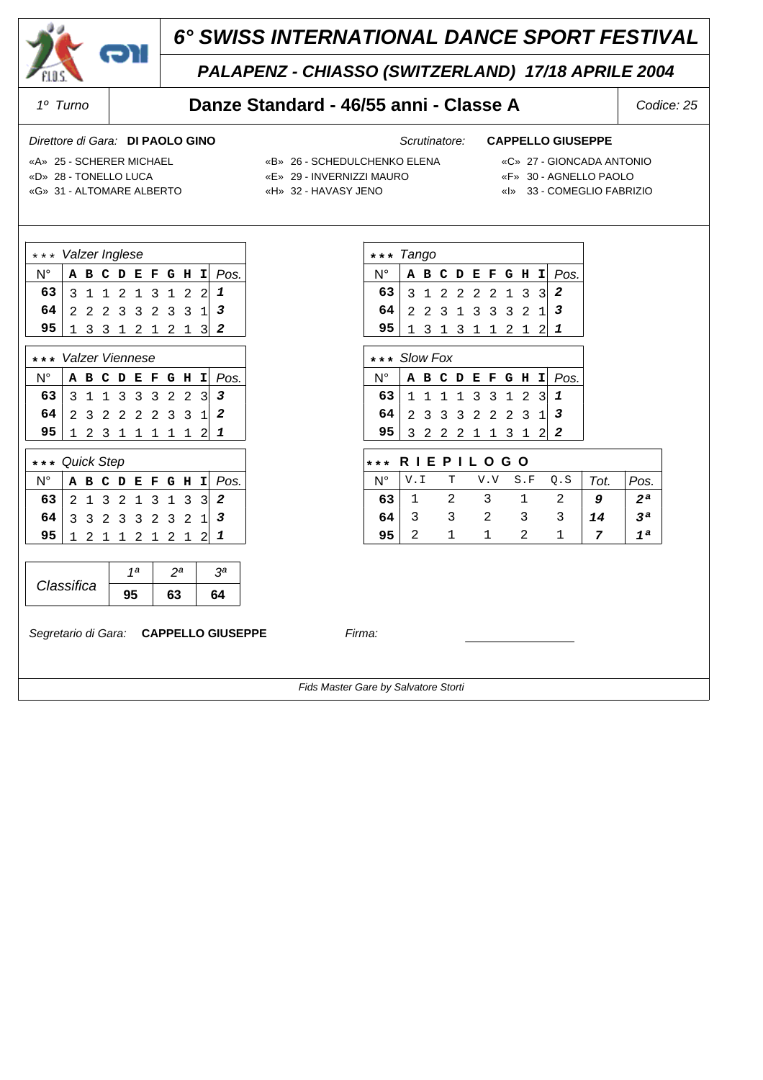

## *PALAPENZ - CHIASSO (SWITZERLAND) 17/18 APRILE 2004*

### *1º Turno* **Danze Standard - 46/55 anni - Classe A** *Codice: 25*

### *Direttore di Gara: Scrutinatore:* **DI PAOLO GINO CAPPELLO GIUSEPPE**

N° **ABCDEFGHI** *Pos.* 31 2 2 22 13 3 *2* 22 3 1 33 32 1 *3* 13 1 3 11 21 2 *1*

N° **ABCDEFGHI** *Pos.* 11 1 1 33 12 3 *1* 23 3 3 22 23 1 *3* 32 2 2 11 31 2 *2*

N° V.I T V.V S.F Q.S *Tot. Pos.* 1 2 3 1 2 *9 2ª* 3 3 2 3 3 *14 3ª* 2 1 1 2 1 *7 1ª*

 **\* \* \* R I E P I L O G O**

- «D» 28 TONELLO LUCA «E» 29 INVERNIZZI MAURO «F» 30 AGNELLO PAOLO
- -

**\* \* \*** *Tango*

**\* \* \*** *Slow Fox*

- «G» 31 ALTOMARE ALBERTO «H» 32 HAVASY JENO «I» 33 COMEGLIO FABRIZIO
- «A» 25 SCHERER MICHAEL «B» 26 SCHEDULCHENKO ELENA «C» 27 GIONCADA ANTONIO
	-
	-

| *** Valzer Inglese     |  |  |  |  |  |  |  |                   |  |                        |  |
|------------------------|--|--|--|--|--|--|--|-------------------|--|------------------------|--|
| N°                     |  |  |  |  |  |  |  |                   |  | A B C D E F G H I Pos. |  |
| 63 3 1 1 2 1 3 1 2 2 1 |  |  |  |  |  |  |  |                   |  |                        |  |
| $64$ 2 2 2 3 3 2 3 3 1 |  |  |  |  |  |  |  |                   |  |                        |  |
| 95                     |  |  |  |  |  |  |  | $1$ 3 3 1 2 1 2 1 |  |                        |  |
|                        |  |  |  |  |  |  |  |                   |  |                        |  |

| *** Valzer Viennese                              |  |  |  |                   |  |                        |
|--------------------------------------------------|--|--|--|-------------------|--|------------------------|
| $N^{\circ}$                                      |  |  |  |                   |  | A B C D E F G H I Pos. |
| 63 3 1 1 3 3 3 2 2 3 3<br>64 2 3 2 2 2 2 3 3 1 2 |  |  |  |                   |  |                        |
|                                                  |  |  |  |                   |  |                        |
|                                                  |  |  |  | 1 2 3 1 1 1 1 1 2 |  |                        |

| *** Quick Step           |  |  |  |  |  |  |  |                 |  |                        |  |  |
|--------------------------|--|--|--|--|--|--|--|-----------------|--|------------------------|--|--|
| N°                       |  |  |  |  |  |  |  |                 |  | A B C D E F G H I Pos. |  |  |
| 63 2 1 3 2 1 3 1 3 3 2   |  |  |  |  |  |  |  |                 |  |                        |  |  |
| $64$ 3 3 2 3 3 2 3 2 1 3 |  |  |  |  |  |  |  |                 |  |                        |  |  |
|                          |  |  |  |  |  |  |  | 1 2 1 1 2 1 2 1 |  |                        |  |  |

|            | 1a | วล | 2a |
|------------|----|----|----|
| Classifica |    | 63 | ۲4 |

*Segretario di Gara:* **CAPPELLO GIUSEPPE** *Firma:*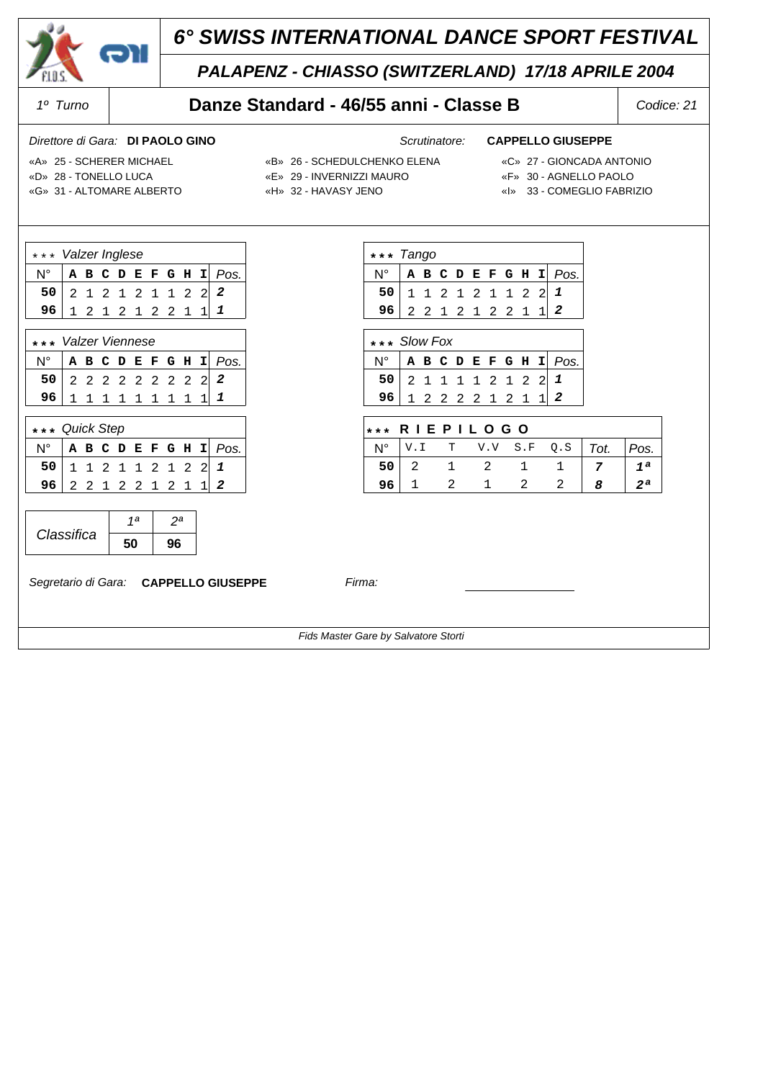

## *PALAPENZ - CHIASSO (SWITZERLAND) 17/18 APRILE 2004*

### *1º Turno* **Danze Standard - 46/55 anni - Classe B** *Codice: 21*

### *Direttore di Gara: Scrutinatore:* **DI PAOLO GINO CAPPELLO GIUSEPPE**

N° **ABCDEFGHI** *Pos.*  **50** 11 2 1 21 12 2 *1*  **96** 22 1 2 12 21 1 *2*

N° **ABCDEFGHI** *Pos.*  **50** 21 1 1 12 12 2 *1*  **96** 12 2 2 21 21 1 *2*

N° V.I T V.V S.F Q.S *Tot. Pos.*  **50** 2 1 2 1 1 *7 1ª*  **96** 1 2 1 2 2 *8 2ª*

 **\* \* \* R I E P I L O G O**

- «D» 28 TONELLO LUCA «E» 29 INVERNIZZI MAURO «F» 30 AGNELLO PAOLO
- «A» 25 SCHERER MICHAEL «B» 26 SCHEDULCHENKO ELENA «C» 27 GIONCADA ANTONIO

**\* \* \*** *Tango*

**\* \* \*** *Slow Fox*

- 
- 
- 
- «G» 31 ALTOMARE ALBERTO «H» 32 HAVASY JENO «I» 33 COMEGLIO FABRIZIO

| *** Valzer Inglese |  |  |  |  |  |  |  |                     |  |                        |  |
|--------------------|--|--|--|--|--|--|--|---------------------|--|------------------------|--|
|                    |  |  |  |  |  |  |  |                     |  | A B C D E F G H I Pos. |  |
| 50                 |  |  |  |  |  |  |  | 2 1 2 1 2 1 1 2 2 2 |  |                        |  |
| 96                 |  |  |  |  |  |  |  | 1 2 1 2 1 2 2 1     |  |                        |  |
|                    |  |  |  |  |  |  |  |                     |  |                        |  |

| *** Valzer Viennese      |  |  |  |  |  |  |  |                 |  |                                        |  |  |
|--------------------------|--|--|--|--|--|--|--|-----------------|--|----------------------------------------|--|--|
|                          |  |  |  |  |  |  |  |                 |  | $N^{\circ}$   A B C D E F G H I   Pos. |  |  |
| 50 2 2 2 2 2 2 2 2 2 2 2 |  |  |  |  |  |  |  |                 |  |                                        |  |  |
| 96 <sup>1</sup>          |  |  |  |  |  |  |  | 1 1 1 1 1 1 1 1 |  |                                        |  |  |

| *** Quick Step           |  |                 |  |  |  |                        |
|--------------------------|--|-----------------|--|--|--|------------------------|
|                          |  |                 |  |  |  | A B C D E F G H I Pos. |
| $50$ 1 1 2 1 1 2 1 2 2 1 |  |                 |  |  |  |                        |
| 96.                      |  | 2 2 1 2 2 1 2 1 |  |  |  |                        |

|            | ı a |  |
|------------|-----|--|
| Classifica |     |  |

*Segretario di Gara:* **CAPPELLO GIUSEPPE** *Firma:*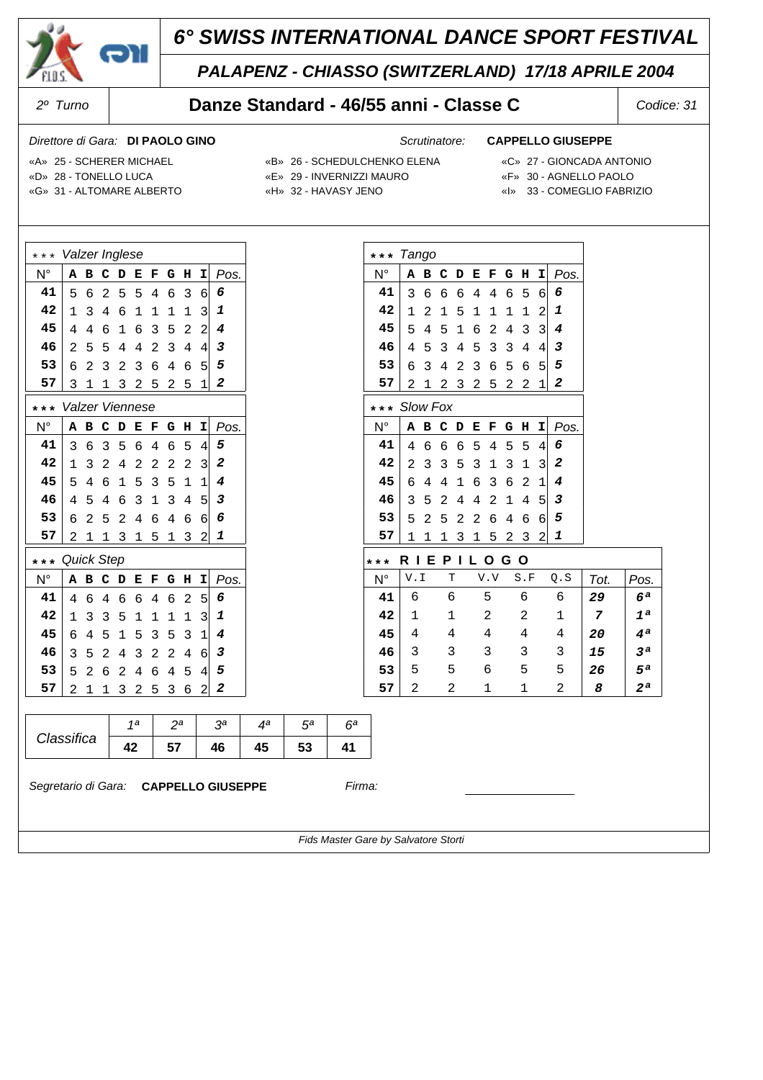

## *PALAPENZ - CHIASSO (SWITZERLAND) 17/18 APRILE 2004*

### *2º Turno* **Danze Standard - 46/55 anni - Classe C** *Codice: 31*

### *Direttore di Gara: Scrutinatore:* **DI PAOLO GINO CAPPELLO GIUSEPPE**

N° **ABCDEFGHI** *Pos.* 36 6 6 44 65 6 *6* 12 1 5 11 11 2 *1* 54 5 1 62 43 3 *4* 45 3 4 53 34 4 *3* 63 4 2 36 56 5 *5* 21 2 3 25 22 1 *2*

N° **ABCDEFGHI** *Pos.* 46 6 6 54 55 4 *6* 23 3 5 31 31 3 *2* 64 4 1 63 62 1 *4* 35 2 4 42 14 5 *3* 52 5 2 26 46 6 *5* 11 1 3 15 23 2 *1*

N° V.I T V.V S.F Q.S *Tot. Pos.* 6 6 5 6 6 *29 6ª* 1 1 2 2 1 *7 1ª* 4 4 4 4 4 *20 4ª* 3 3 3 3 3 *15 3ª* 5 5 6 5 5 *26 5ª* 2 2 1 1 2 *8 2ª*

 **\* \* \* R I E P I L O G O**

- «D» 28 TONELLO LUCA «E» 29 INVERNIZZI MAURO «F» 30 AGNELLO PAOLO
- «A» 25 SCHERER MICHAEL «B» 26 SCHEDULCHENKO ELENA «C» 27 GIONCADA ANTONIO

**\* \* \*** *Tango*

**\* \* \*** *Slow Fox*

- 
- 
- 
- «G» 31 ALTOMARE ALBERTO «H» 32 HAVASY JENO «I» 33 COMEGLIO FABRIZIO

| $\star$     | Valzer Inglese  |             |                |   |             |                |                |             |                |      |
|-------------|-----------------|-------------|----------------|---|-------------|----------------|----------------|-------------|----------------|------|
| $N^{\circ}$ | A               | в           | c              | D | E           | F              | G              | н           | I              | Pos. |
| 41          | 5               | 6           | $\overline{2}$ | 5 | 5           | 4              | б              | 3           | 6              | 6    |
| 42          | 1               | 3           | 4              | 6 | 1           | 1              | 1              | $\mathbf 1$ | 3              | 1    |
| 45          | 4               | 4           | 6              | 1 | б           | 3              | 5              | 2           | $\overline{c}$ | 4    |
| 46          | 2               | 5           | 5              | 4 | 4           | 2              | 3              | 4           | $\overline{4}$ | 3    |
| 53          | 6               | 2           | 3              | 2 | 3           | б              | $\overline{4}$ | 6           | 5              | 5    |
| 57          | 3               | $\mathbf 1$ | 1              | 3 | 2           | 5              | $\overline{c}$ | 5           | $\mathbf 1$    | 2    |
| * * *       | Valzer Viennese |             |                |   |             |                |                |             |                |      |
| $N^{\circ}$ | A               | в           | c              | D | E           | F              | G              | н           | I              | Pos. |
| 41          | 3               | б           | 3              | 5 | б           | $\overline{4}$ | б              | 5           | 4              | 5    |
| 42          | 1               | 3           | 2              | 4 | 2           | $\overline{c}$ | $\overline{c}$ | 2           | 3              | 2    |
| 45          | 5               | 4           | 6              | 1 | 5           | 3              | 5              | 1           | $\mathbf{1}$   | 4    |
| 46          | 4               | 5           | 4              | 6 | 3           | 1              | 3              | 4           | 5              | з    |
| 53          | 6               | 2           | 5              | 2 | 4           | б              | 4              | 6           | 6              | 6    |
| 57          | 2               | $\mathbf 1$ | 1              | 3 | 1           | 5              | 1              | 3           | $\overline{c}$ | 1    |
| * * *       | Quick Step      |             |                |   |             |                |                |             |                |      |
| $N^{\circ}$ | A               | B           | с              | D | E           | F              | G              | H           | I              | Pos. |
| 41          | 4               | 6           | $\overline{4}$ | 6 | б           | 4              | 6              | 2           | 5              | 6    |
| 42          | 1               | 3           | 3              | 5 | $\mathbf 1$ | 1              | $\mathbf 1$    | $\mathbf 1$ | 3              | 1    |
| 45          | 6               | 4           | 5              | 1 | 5           | 3              | 5              | 3           | $\mathbf{1}$   | 4    |
| 46          | 3               | 5           | 2              | 4 | 3           | $\overline{c}$ | $\overline{a}$ | 4           | 6              | 3    |
| 53          | 5               | 2           | 6              | 2 | 4           | б              | 4              | 5           | 4              | 5    |
| 57          | 2               | 1           | 1              | 3 | 2           | 5              | 3              | б           | $\overline{a}$ | 2    |
|             |                 |             |                |   |             |                |                |             |                |      |

|            | مد<br>1 а | na. | oа | ла | πа        |  |
|------------|-----------|-----|----|----|-----------|--|
| Classifica |           | 57  |    | 45 | E9<br>IJJ |  |

*Segretario di Gara:* **CAPPELLO GIUSEPPE** *Firma:*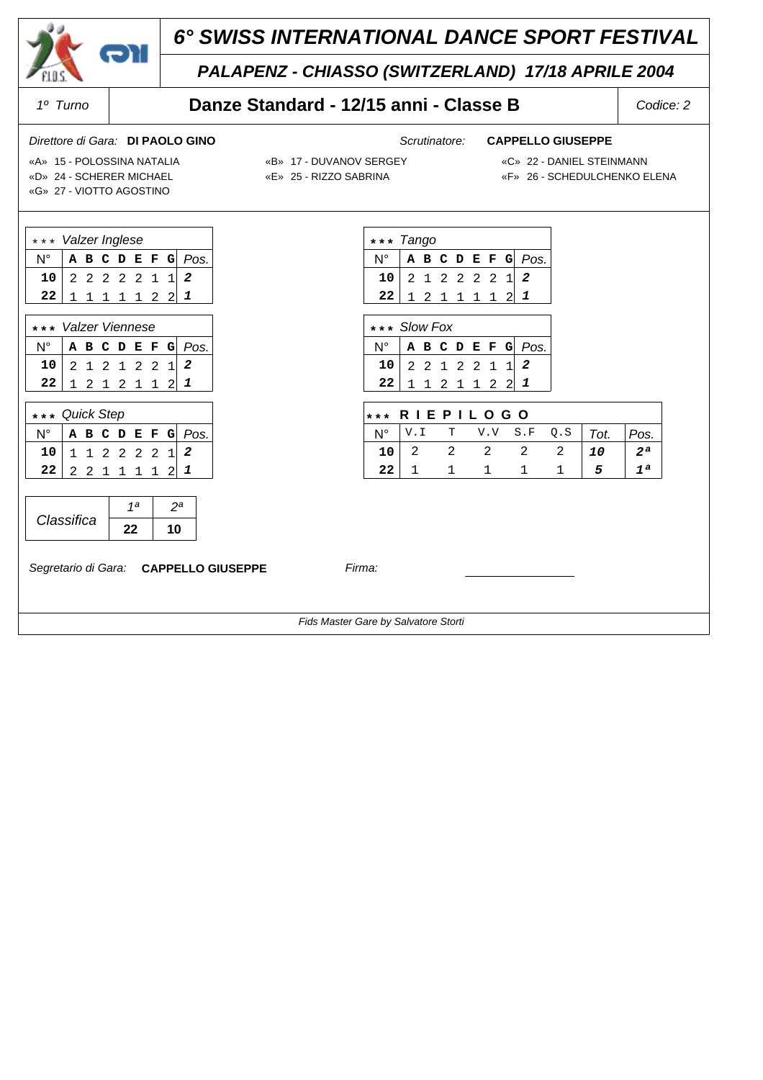

## *PALAPENZ - CHIASSO (SWITZERLAND) 17/18 APRILE 2004*

## *1º Turno* **Danze Standard - 12/15 anni - Classe B** *Codice: 2*

### *Direttore di Gara: Scrutinatore:* **DI PAOLO GINO CAPPELLO GIUSEPPE**

«D» 24 - SCHERER MICHAEL «E» 25 - RIZZO SABRINA «F» 26 - SCHEDULCHENKO ELENA

- «A» 15 POLOSSINA NATALIA «B» 17 DUVANOV SERGEY «C» 22 DANIEL STEINMANN
	-

«G» 27 - VIOTTO AGOSTINO

| *** Valzer Inglese   |  |  |  |             |  |  |  |                    |  |  |  |
|----------------------|--|--|--|-------------|--|--|--|--------------------|--|--|--|
| Ν°                   |  |  |  |             |  |  |  | A B C D E F G Pos. |  |  |  |
| $10$ 2 2 2 2 2 1 1 2 |  |  |  |             |  |  |  |                    |  |  |  |
| 22                   |  |  |  | 1 1 1 1 2 2 |  |  |  |                    |  |  |  |

٦

|                      | *** Valzer Viennese |  |  |  |                 |  |  |                                   |  |  |  |
|----------------------|---------------------|--|--|--|-----------------|--|--|-----------------------------------|--|--|--|
|                      |                     |  |  |  |                 |  |  | $N^{\circ}$ A B C D E F G $P$ os. |  |  |  |
| $10$ 2 1 2 1 2 2 1 2 |                     |  |  |  |                 |  |  |                                   |  |  |  |
| 22                   |                     |  |  |  | 1 2 1 2 1 1 2 1 |  |  |                                   |  |  |  |

| *** Quick Step  |  |  |                 |  |                    |
|-----------------|--|--|-----------------|--|--------------------|
| Ν°              |  |  |                 |  | A B C D E F G Pos. |
| 10 <sub>1</sub> |  |  | 1 1 2 2 2 2 1 2 |  |                    |
| 22 <sub>2</sub> |  |  | 2 2 1 1 1 1     |  |                    |

|            | ۱a |  |
|------------|----|--|
| Classifica |    |  |

*Segretario di Gara:* **CAPPELLO GIUSEPPE** *Firma:*

**\* \* \*** *Tango* N° **ABCDEFG** *Pos.*  **10** 21 2 2 22 1 *2*

| $22$   1 2 1 1 1 1 2   1 |                                                                                                       |  |  |                    |
|--------------------------|-------------------------------------------------------------------------------------------------------|--|--|--------------------|
|                          |                                                                                                       |  |  |                    |
| $***$ Slow Fox           |                                                                                                       |  |  |                    |
|                          |                                                                                                       |  |  |                    |
| N°                       |                                                                                                       |  |  | A B C D E F G Pos. |
| 10 <br>22                | $\begin{array}{ccccccc c} 2 & 2 & 1 & 2 & 2 & 1 & 1 & 2 \\ 1 & 1 & 2 & 1 & 1 & 2 & 2 & 1 \end{array}$ |  |  |                    |

|      | $***$ RIEPILOGO |  |                                                                 |  |  |                                             |                |  |  |  |  |  |  |  |
|------|-----------------|--|-----------------------------------------------------------------|--|--|---------------------------------------------|----------------|--|--|--|--|--|--|--|
|      |                 |  |                                                                 |  |  | $N^{\circ}$ V.I T V.V S.F Q.S   Tot.   Pos. |                |  |  |  |  |  |  |  |
|      |                 |  | $10 \begin{array}{cccccccc} 2 & 2 & 2 & 2 & 2 & 10 \end{array}$ |  |  |                                             | 2 <sup>a</sup> |  |  |  |  |  |  |  |
| 22 1 |                 |  | $1 \quad 1 \quad 1$                                             |  |  |                                             |                |  |  |  |  |  |  |  |